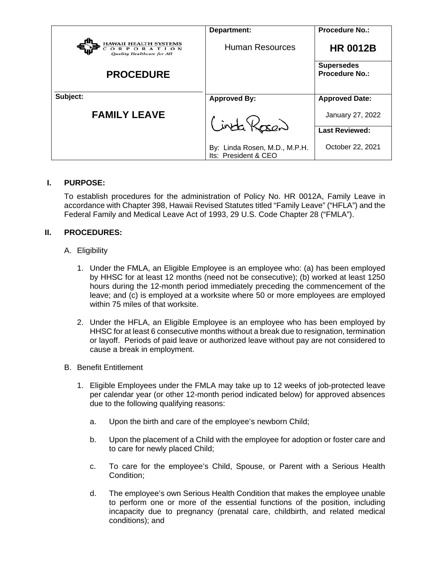|                                                                          | Department:                                           | <b>Procedure No.:</b>                      |
|--------------------------------------------------------------------------|-------------------------------------------------------|--------------------------------------------|
| <b>HAWAII HEALTH SYSTEMS</b><br>ORPORATION<br>Quality Healthcare for All | <b>Human Resources</b>                                | <b>HR 0012B</b>                            |
| <b>PROCEDURE</b>                                                         |                                                       | <b>Supersedes</b><br><b>Procedure No.:</b> |
| Subject:                                                                 | <b>Approved By:</b>                                   | <b>Approved Date:</b>                      |
| <b>FAMILY LEAVE</b>                                                      | Cinta Kasen                                           | January 27, 2022                           |
|                                                                          |                                                       | <b>Last Reviewed:</b>                      |
|                                                                          | By: Linda Rosen, M.D., M.P.H.<br>Its: President & CEO | October 22, 2021                           |

## **I. PURPOSE:**

To establish procedures for the administration of Policy No. HR 0012A, Family Leave in accordance with Chapter 398, Hawaii Revised Statutes titled "Family Leave" ("HFLA") and the Federal Family and Medical Leave Act of 1993, 29 U.S. Code Chapter 28 ("FMLA").

# **II. PROCEDURES:**

- A. Eligibility
	- 1. Under the FMLA, an Eligible Employee is an employee who: (a) has been employed by HHSC for at least 12 months (need not be consecutive); (b) worked at least 1250 hours during the 12-month period immediately preceding the commencement of the leave; and (c) is employed at a worksite where 50 or more employees are employed within 75 miles of that worksite.
	- 2. Under the HFLA, an Eligible Employee is an employee who has been employed by HHSC for at least 6 consecutive months without a break due to resignation, termination or layoff. Periods of paid leave or authorized leave without pay are not considered to cause a break in employment.
- B. Benefit Entitlement
	- 1. Eligible Employees under the FMLA may take up to 12 weeks of job-protected leave per calendar year (or other 12-month period indicated below) for approved absences due to the following qualifying reasons:
		- a. Upon the birth and care of the employee's newborn Child;
		- b. Upon the placement of a Child with the employee for adoption or foster care and to care for newly placed Child;
		- c. To care for the employee's Child, Spouse, or Parent with a Serious Health Condition;
		- d. The employee's own Serious Health Condition that makes the employee unable to perform one or more of the essential functions of the position, including incapacity due to pregnancy (prenatal care, childbirth, and related medical conditions); and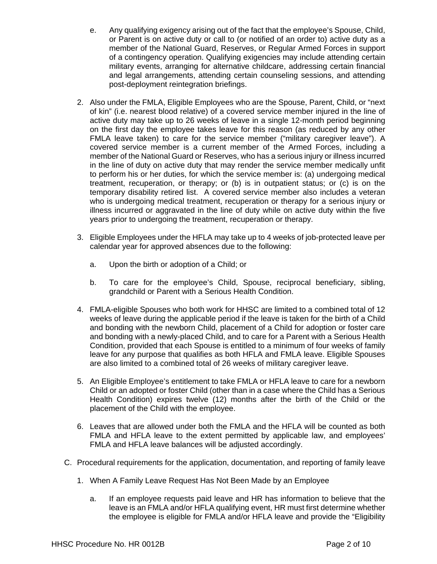- e. Any qualifying exigency arising out of the fact that the employee's Spouse, Child, or Parent is on active duty or call to (or notified of an order to) active duty as a member of the National Guard, Reserves, or Regular Armed Forces in support of a contingency operation. Qualifying exigencies may include attending certain military events, arranging for alternative childcare, addressing certain financial and legal arrangements, attending certain counseling sessions, and attending post-deployment reintegration briefings.
- 2. Also under the FMLA, Eligible Employees who are the Spouse, Parent, Child, or "next of kin" (i.e. nearest blood relative) of a covered service member injured in the line of active duty may take up to 26 weeks of leave in a single 12-month period beginning on the first day the employee takes leave for this reason (as reduced by any other FMLA leave taken) to care for the service member ("military caregiver leave"). A covered service member is a current member of the Armed Forces, including a member of the National Guard or Reserves, who has a serious injury or illness incurred in the line of duty on active duty that may render the service member medically unfit to perform his or her duties, for which the service member is: (a) undergoing medical treatment, recuperation, or therapy; or (b) is in outpatient status; or (c) is on the temporary disability retired list. A covered service member also includes a veteran who is undergoing medical treatment, recuperation or therapy for a serious injury or illness incurred or aggravated in the line of duty while on active duty within the five years prior to undergoing the treatment, recuperation or therapy.
- 3. Eligible Employees under the HFLA may take up to 4 weeks of job-protected leave per calendar year for approved absences due to the following:
	- a. Upon the birth or adoption of a Child; or
	- b. To care for the employee's Child, Spouse, reciprocal beneficiary, sibling, grandchild or Parent with a Serious Health Condition.
- 4. FMLA-eligible Spouses who both work for HHSC are limited to a combined total of 12 weeks of leave during the applicable period if the leave is taken for the birth of a Child and bonding with the newborn Child, placement of a Child for adoption or foster care and bonding with a newly-placed Child, and to care for a Parent with a Serious Health Condition, provided that each Spouse is entitled to a minimum of four weeks of family leave for any purpose that qualifies as both HFLA and FMLA leave. Eligible Spouses are also limited to a combined total of 26 weeks of military caregiver leave.
- 5. An Eligible Employee's entitlement to take FMLA or HFLA leave to care for a newborn Child or an adopted or foster Child (other than in a case where the Child has a Serious Health Condition) expires twelve (12) months after the birth of the Child or the placement of the Child with the employee.
- 6. Leaves that are allowed under both the FMLA and the HFLA will be counted as both FMLA and HFLA leave to the extent permitted by applicable law, and employees' FMLA and HFLA leave balances will be adjusted accordingly.
- C. Procedural requirements for the application, documentation, and reporting of family leave
	- 1. When A Family Leave Request Has Not Been Made by an Employee
		- a. If an employee requests paid leave and HR has information to believe that the leave is an FMLA and/or HFLA qualifying event, HR must first determine whether the employee is eligible for FMLA and/or HFLA leave and provide the "Eligibility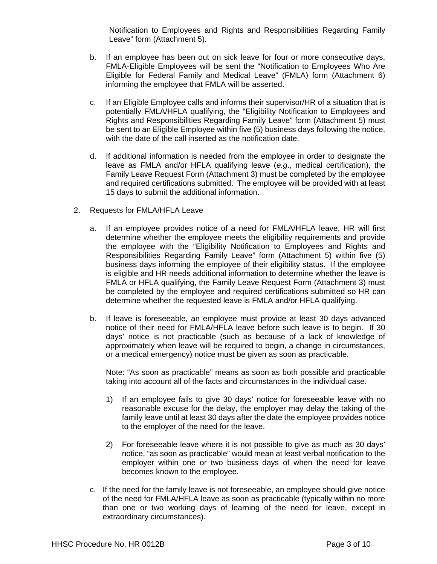Notification to Employees and Rights and Responsibilities Regarding Family Leave" form (Attachment 5).

- b. If an employee has been out on sick leave for four or more consecutive days, FMLA-Eligible Employees will be sent the "Notification to Employees Who Are Eligible for Federal Family and Medical Leave" (FMLA) form (Attachment 6) informing the employee that FMLA will be asserted.
- c. If an Eligible Employee calls and informs their supervisor/HR of a situation that is potentially FMLA/HFLA qualifying, the "Eligibility Notification to Employees and Rights and Responsibilities Regarding Family Leave" form (Attachment 5) must be sent to an Eligible Employee within five (5) business days following the notice, with the date of the call inserted as the notification date.
- d. If additional information is needed from the employee in order to designate the leave as FMLA and/or HFLA qualifying leave (*e.g*., medical certification), the Family Leave Request Form (Attachment 3) must be completed by the employee and required certifications submitted. The employee will be provided with at least 15 days to submit the additional information.
- 2. Requests for FMLA/HFLA Leave
	- a. If an employee provides notice of a need for FMLA/HFLA leave, HR will first determine whether the employee meets the eligibility requirements and provide the employee with the "Eligibility Notification to Employees and Rights and Responsibilities Regarding Family Leave" form (Attachment 5) within five (5) business days informing the employee of their eligibility status. If the employee is eligible and HR needs additional information to determine whether the leave is FMLA or HFLA qualifying, the Family Leave Request Form (Attachment 3) must be completed by the employee and required certifications submitted so HR can determine whether the requested leave is FMLA and/or HFLA qualifying.
	- b. If leave is foreseeable, an employee must provide at least 30 days advanced notice of their need for FMLA/HFLA leave before such leave is to begin. If 30 days' notice is not practicable (such as because of a lack of knowledge of approximately when leave will be required to begin, a change in circumstances, or a medical emergency) notice must be given as soon as practicable.

Note: "As soon as practicable" means as soon as both possible and practicable taking into account all of the facts and circumstances in the individual case.

- 1) If an employee fails to give 30 days' notice for foreseeable leave with no reasonable excuse for the delay, the employer may delay the taking of the family leave until at least 30 days after the date the employee provides notice to the employer of the need for the leave.
- 2) For foreseeable leave where it is not possible to give as much as 30 days' notice, "as soon as practicable" would mean at least verbal notification to the employer within one or two business days of when the need for leave becomes known to the employee.
- c. If the need for the family leave is not foreseeable, an employee should give notice of the need for FMLA/HFLA leave as soon as practicable (typically within no more than one or two working days of learning of the need for leave, except in extraordinary circumstances).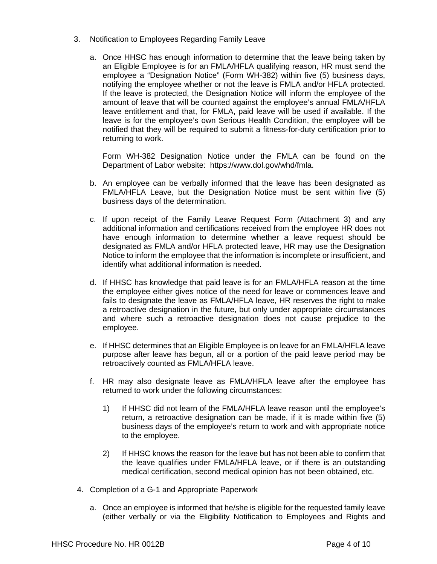- 3. Notification to Employees Regarding Family Leave
	- a. Once HHSC has enough information to determine that the leave being taken by an Eligible Employee is for an FMLA/HFLA qualifying reason, HR must send the employee a "Designation Notice" (Form WH-382) within five (5) business days, notifying the employee whether or not the leave is FMLA and/or HFLA protected. If the leave is protected, the Designation Notice will inform the employee of the amount of leave that will be counted against the employee's annual FMLA/HFLA leave entitlement and that, for FMLA, paid leave will be used if available. If the leave is for the employee's own Serious Health Condition, the employee will be notified that they will be required to submit a fitness-for-duty certification prior to returning to work.

Form WH-382 Designation Notice under the FMLA can be found on the Department of Labor website: https://www.dol.gov/whd/fmla.

- b. An employee can be verbally informed that the leave has been designated as FMLA/HFLA Leave, but the Designation Notice must be sent within five (5) business days of the determination.
- c. If upon receipt of the Family Leave Request Form (Attachment 3) and any additional information and certifications received from the employee HR does not have enough information to determine whether a leave request should be designated as FMLA and/or HFLA protected leave, HR may use the Designation Notice to inform the employee that the information is incomplete or insufficient, and identify what additional information is needed.
- d. If HHSC has knowledge that paid leave is for an FMLA/HFLA reason at the time the employee either gives notice of the need for leave or commences leave and fails to designate the leave as FMLA/HFLA leave, HR reserves the right to make a retroactive designation in the future, but only under appropriate circumstances and where such a retroactive designation does not cause prejudice to the employee.
- e. If HHSC determines that an Eligible Employee is on leave for an FMLA/HFLA leave purpose after leave has begun, all or a portion of the paid leave period may be retroactively counted as FMLA/HFLA leave.
- f. HR may also designate leave as FMLA/HFLA leave after the employee has returned to work under the following circumstances:
	- 1) If HHSC did not learn of the FMLA/HFLA leave reason until the employee's return, a retroactive designation can be made, if it is made within five (5) business days of the employee's return to work and with appropriate notice to the employee.
	- 2) If HHSC knows the reason for the leave but has not been able to confirm that the leave qualifies under FMLA/HFLA leave, or if there is an outstanding medical certification, second medical opinion has not been obtained, etc.
- 4. Completion of a G-1 and Appropriate Paperwork
	- a. Once an employee is informed that he/she is eligible for the requested family leave (either verbally or via the Eligibility Notification to Employees and Rights and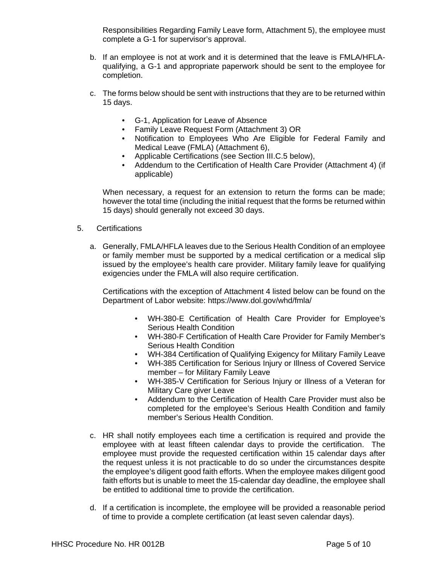Responsibilities Regarding Family Leave form, Attachment 5), the employee must complete a G-1 for supervisor's approval.

- b. If an employee is not at work and it is determined that the leave is FMLA/HFLAqualifying, a G-1 and appropriate paperwork should be sent to the employee for completion.
- c. The forms below should be sent with instructions that they are to be returned within 15 days.
	- G-1, Application for Leave of Absence
	- Family Leave Request Form (Attachment 3) OR
	- Notification to Employees Who Are Eligible for Federal Family and Medical Leave (FMLA) (Attachment 6),
	- Applicable Certifications (see Section III.C.5 below),
	- Addendum to the Certification of Health Care Provider (Attachment 4) (if applicable)

When necessary, a request for an extension to return the forms can be made; however the total time (including the initial request that the forms be returned within 15 days) should generally not exceed 30 days.

- 5. Certifications
	- a. Generally, FMLA/HFLA leaves due to the Serious Health Condition of an employee or family member must be supported by a medical certification or a medical slip issued by the employee's health care provider. Military family leave for qualifying exigencies under the FMLA will also require certification.

Certifications with the exception of Attachment 4 listed below can be found on the Department of Labor website: https://www.dol.gov/whd/fmla/

- WH-380-E Certification of Health Care Provider for Employee's Serious Health Condition
- WH-380-F Certification of Health Care Provider for Family Member's Serious Health Condition
- WH-384 Certification of Qualifying Exigency for Military Family Leave
- WH-385 Certification for Serious Injury or Illness of Covered Service member – for Military Family Leave
- WH-385-V Certification for Serious Injury or Illness of a Veteran for Military Care giver Leave
- Addendum to the Certification of Health Care Provider must also be completed for the employee's Serious Health Condition and family member's Serious Health Condition.
- c. HR shall notify employees each time a certification is required and provide the employee with at least fifteen calendar days to provide the certification. The employee must provide the requested certification within 15 calendar days after the request unless it is not practicable to do so under the circumstances despite the employee's diligent good faith efforts. When the employee makes diligent good faith efforts but is unable to meet the 15-calendar day deadline, the employee shall be entitled to additional time to provide the certification.
- d. If a certification is incomplete, the employee will be provided a reasonable period of time to provide a complete certification (at least seven calendar days).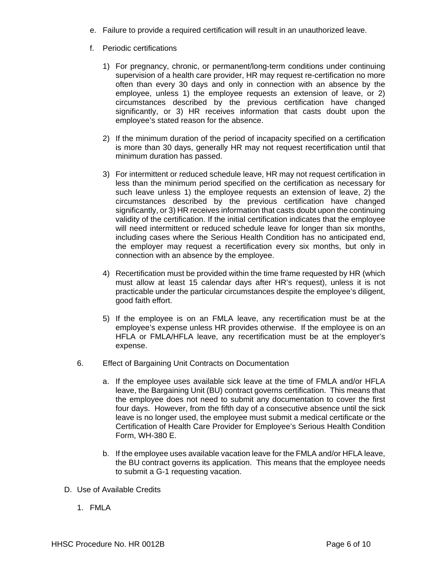- e. Failure to provide a required certification will result in an unauthorized leave.
- f. Periodic certifications
	- 1) For pregnancy, chronic, or permanent/long-term conditions under continuing supervision of a health care provider, HR may request re-certification no more often than every 30 days and only in connection with an absence by the employee, unless 1) the employee requests an extension of leave, or 2) circumstances described by the previous certification have changed significantly, or 3) HR receives information that casts doubt upon the employee's stated reason for the absence.
	- 2) If the minimum duration of the period of incapacity specified on a certification is more than 30 days, generally HR may not request recertification until that minimum duration has passed.
	- 3) For intermittent or reduced schedule leave, HR may not request certification in less than the minimum period specified on the certification as necessary for such leave unless 1) the employee requests an extension of leave, 2) the circumstances described by the previous certification have changed significantly, or 3) HR receives information that casts doubt upon the continuing validity of the certification. If the initial certification indicates that the employee will need intermittent or reduced schedule leave for longer than six months, including cases where the Serious Health Condition has no anticipated end, the employer may request a recertification every six months, but only in connection with an absence by the employee.
	- 4) Recertification must be provided within the time frame requested by HR (which must allow at least 15 calendar days after HR's request), unless it is not practicable under the particular circumstances despite the employee's diligent, good faith effort.
	- 5) If the employee is on an FMLA leave, any recertification must be at the employee's expense unless HR provides otherwise. If the employee is on an HFLA or FMLA/HFLA leave, any recertification must be at the employer's expense.
- 6. Effect of Bargaining Unit Contracts on Documentation
	- a. If the employee uses available sick leave at the time of FMLA and/or HFLA leave, the Bargaining Unit (BU) contract governs certification. This means that the employee does not need to submit any documentation to cover the first four days. However, from the fifth day of a consecutive absence until the sick leave is no longer used, the employee must submit a medical certificate or the Certification of Health Care Provider for Employee's Serious Health Condition Form, WH-380 E.
	- b. If the employee uses available vacation leave for the FMLA and/or HFLA leave, the BU contract governs its application. This means that the employee needs to submit a G-1 requesting vacation.
- D. Use of Available Credits
	- 1. FMLA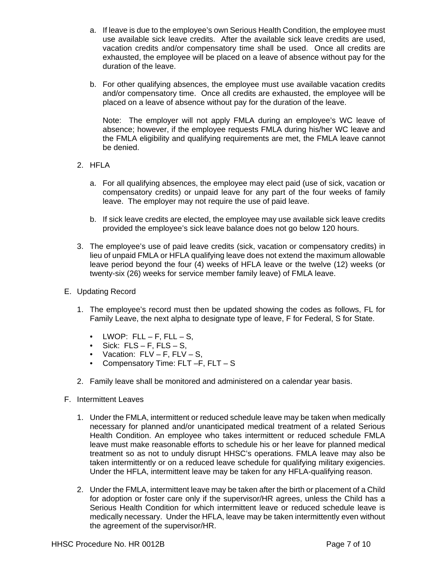- a. If leave is due to the employee's own Serious Health Condition, the employee must use available sick leave credits. After the available sick leave credits are used, vacation credits and/or compensatory time shall be used. Once all credits are exhausted, the employee will be placed on a leave of absence without pay for the duration of the leave.
- b. For other qualifying absences, the employee must use available vacation credits and/or compensatory time. Once all credits are exhausted, the employee will be placed on a leave of absence without pay for the duration of the leave.

Note: The employer will not apply FMLA during an employee's WC leave of absence; however, if the employee requests FMLA during his/her WC leave and the FMLA eligibility and qualifying requirements are met, the FMLA leave cannot be denied.

- 2. HFLA
	- a. For all qualifying absences, the employee may elect paid (use of sick, vacation or compensatory credits) or unpaid leave for any part of the four weeks of family leave. The employer may not require the use of paid leave.
	- b. If sick leave credits are elected, the employee may use available sick leave credits provided the employee's sick leave balance does not go below 120 hours.
- 3. The employee's use of paid leave credits (sick, vacation or compensatory credits) in lieu of unpaid FMLA or HFLA qualifying leave does not extend the maximum allowable leave period beyond the four (4) weeks of HFLA leave or the twelve (12) weeks (or twenty-six (26) weeks for service member family leave) of FMLA leave.
- E. Updating Record
	- 1. The employee's record must then be updated showing the codes as follows, FL for Family Leave, the next alpha to designate type of leave, F for Federal, S for State.
		- LWOP:  $FLL F$ ,  $FLL S$ ,
		- $\bullet$  Sick: FLS F, FLS S,
		- Vacation:  $FLV F$ ,  $FLV S$ ,
		- Compensatory Time: FLT -F, FLT S
	- 2. Family leave shall be monitored and administered on a calendar year basis.
- F. Intermittent Leaves
	- 1. Under the FMLA, intermittent or reduced schedule leave may be taken when medically necessary for planned and/or unanticipated medical treatment of a related Serious Health Condition. An employee who takes intermittent or reduced schedule FMLA leave must make reasonable efforts to schedule his or her leave for planned medical treatment so as not to unduly disrupt HHSC's operations. FMLA leave may also be taken intermittently or on a reduced leave schedule for qualifying military exigencies. Under the HFLA, intermittent leave may be taken for any HFLA-qualifying reason.
	- 2. Under the FMLA, intermittent leave may be taken after the birth or placement of a Child for adoption or foster care only if the supervisor/HR agrees, unless the Child has a Serious Health Condition for which intermittent leave or reduced schedule leave is medically necessary. Under the HFLA, leave may be taken intermittently even without the agreement of the supervisor/HR.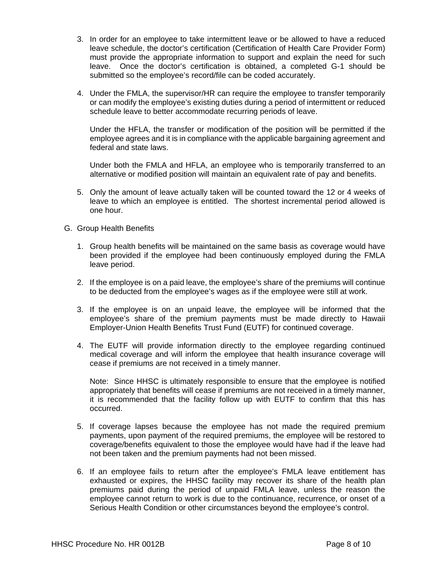- 3. In order for an employee to take intermittent leave or be allowed to have a reduced leave schedule, the doctor's certification (Certification of Health Care Provider Form) must provide the appropriate information to support and explain the need for such leave. Once the doctor's certification is obtained, a completed G-1 should be submitted so the employee's record/file can be coded accurately.
- 4. Under the FMLA, the supervisor/HR can require the employee to transfer temporarily or can modify the employee's existing duties during a period of intermittent or reduced schedule leave to better accommodate recurring periods of leave.

Under the HFLA, the transfer or modification of the position will be permitted if the employee agrees and it is in compliance with the applicable bargaining agreement and federal and state laws.

Under both the FMLA and HFLA, an employee who is temporarily transferred to an alternative or modified position will maintain an equivalent rate of pay and benefits.

- 5. Only the amount of leave actually taken will be counted toward the 12 or 4 weeks of leave to which an employee is entitled. The shortest incremental period allowed is one hour.
- G. Group Health Benefits
	- 1. Group health benefits will be maintained on the same basis as coverage would have been provided if the employee had been continuously employed during the FMLA leave period.
	- 2. If the employee is on a paid leave, the employee's share of the premiums will continue to be deducted from the employee's wages as if the employee were still at work.
	- 3. If the employee is on an unpaid leave, the employee will be informed that the employee's share of the premium payments must be made directly to Hawaii Employer-Union Health Benefits Trust Fund (EUTF) for continued coverage.
	- 4. The EUTF will provide information directly to the employee regarding continued medical coverage and will inform the employee that health insurance coverage will cease if premiums are not received in a timely manner.

Note: Since HHSC is ultimately responsible to ensure that the employee is notified appropriately that benefits will cease if premiums are not received in a timely manner, it is recommended that the facility follow up with EUTF to confirm that this has occurred.

- 5. If coverage lapses because the employee has not made the required premium payments, upon payment of the required premiums, the employee will be restored to coverage/benefits equivalent to those the employee would have had if the leave had not been taken and the premium payments had not been missed.
- 6. If an employee fails to return after the employee's FMLA leave entitlement has exhausted or expires, the HHSC facility may recover its share of the health plan premiums paid during the period of unpaid FMLA leave, unless the reason the employee cannot return to work is due to the continuance, recurrence, or onset of a Serious Health Condition or other circumstances beyond the employee's control.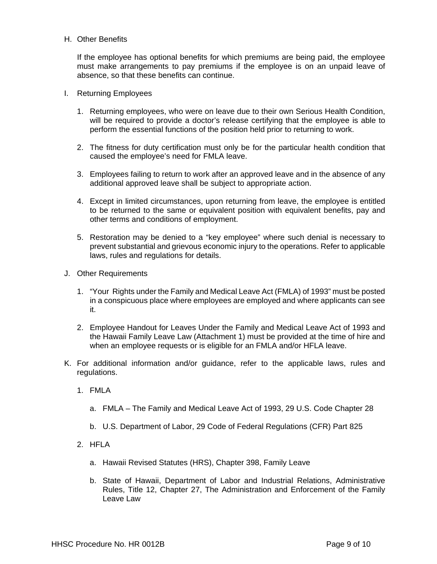## H. Other Benefits

If the employee has optional benefits for which premiums are being paid, the employee must make arrangements to pay premiums if the employee is on an unpaid leave of absence, so that these benefits can continue.

- I. Returning Employees
	- 1. Returning employees, who were on leave due to their own Serious Health Condition, will be required to provide a doctor's release certifying that the employee is able to perform the essential functions of the position held prior to returning to work.
	- 2. The fitness for duty certification must only be for the particular health condition that caused the employee's need for FMLA leave.
	- 3. Employees failing to return to work after an approved leave and in the absence of any additional approved leave shall be subject to appropriate action.
	- 4. Except in limited circumstances, upon returning from leave, the employee is entitled to be returned to the same or equivalent position with equivalent benefits, pay and other terms and conditions of employment.
	- 5. Restoration may be denied to a "key employee" where such denial is necessary to prevent substantial and grievous economic injury to the operations. Refer to applicable laws, rules and regulations for details.
- J. Other Requirements
	- 1. "Your Rights under the Family and Medical Leave Act (FMLA) of 1993" must be posted in a conspicuous place where employees are employed and where applicants can see it.
	- 2. Employee Handout for Leaves Under the Family and Medical Leave Act of 1993 and the Hawaii Family Leave Law (Attachment 1) must be provided at the time of hire and when an employee requests or is eligible for an FMLA and/or HFLA leave.
- K. For additional information and/or guidance, refer to the applicable laws, rules and regulations.
	- 1. FMLA
		- a. FMLA The Family and Medical Leave Act of 1993, 29 U.S. Code Chapter 28
		- b. U.S. Department of Labor, 29 Code of Federal Regulations (CFR) Part 825
	- 2. HFLA
		- a. Hawaii Revised Statutes (HRS), Chapter 398, Family Leave
		- b. State of Hawaii, Department of Labor and Industrial Relations, Administrative Rules, Title 12, Chapter 27, The Administration and Enforcement of the Family Leave Law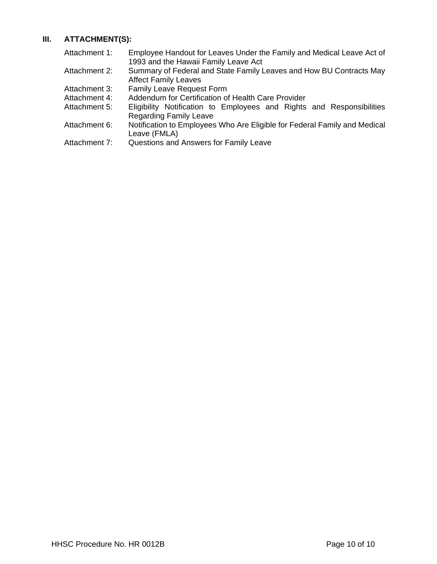# **III. ATTACHMENT(S):**

| Attachment 1: | Employee Handout for Leaves Under the Family and Medical Leave Act of<br>1993 and the Hawaii Family Leave Act |
|---------------|---------------------------------------------------------------------------------------------------------------|
| Attachment 2: | Summary of Federal and State Family Leaves and How BU Contracts May<br><b>Affect Family Leaves</b>            |
| Attachment 3: | <b>Family Leave Request Form</b>                                                                              |
| Attachment 4: | Addendum for Certification of Health Care Provider                                                            |
| Attachment 5: | Eligibility Notification to Employees and Rights and Responsibilities<br><b>Regarding Family Leave</b>        |
| Attachment 6: | Notification to Employees Who Are Eligible for Federal Family and Medical<br>Leave (FMLA)                     |
| Attachment 7: | Questions and Answers for Family Leave                                                                        |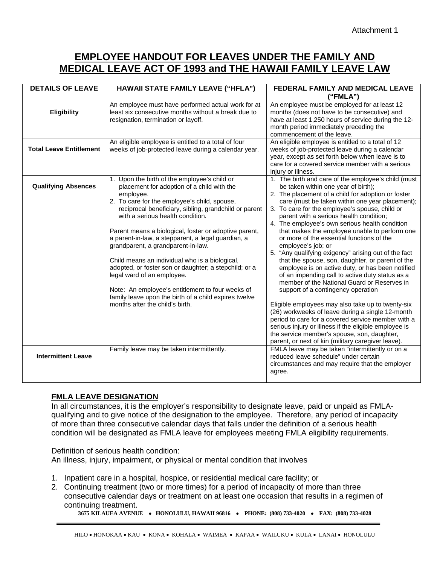# **EMPLOYEE HANDOUT FOR LEAVES UNDER THE FAMILY AND MEDICAL LEAVE ACT OF 1993 and THE HAWAII FAMILY LEAVE LAW**

| <b>DETAILS OF LEAVE</b>        | HAWAII STATE FAMILY LEAVE ("HFLA")                                                                                                                                                                                                                                                                                                                                                                                                                                                                                                                                                                                                                                                                 | FEDERAL FAMILY AND MEDICAL LEAVE                                                                                                                                                                                                                                                                                                                                                                                                                                                                                                                                                                                                                                                                                                                                                                                                                                                                                                                                                                                                                                                                            |
|--------------------------------|----------------------------------------------------------------------------------------------------------------------------------------------------------------------------------------------------------------------------------------------------------------------------------------------------------------------------------------------------------------------------------------------------------------------------------------------------------------------------------------------------------------------------------------------------------------------------------------------------------------------------------------------------------------------------------------------------|-------------------------------------------------------------------------------------------------------------------------------------------------------------------------------------------------------------------------------------------------------------------------------------------------------------------------------------------------------------------------------------------------------------------------------------------------------------------------------------------------------------------------------------------------------------------------------------------------------------------------------------------------------------------------------------------------------------------------------------------------------------------------------------------------------------------------------------------------------------------------------------------------------------------------------------------------------------------------------------------------------------------------------------------------------------------------------------------------------------|
|                                |                                                                                                                                                                                                                                                                                                                                                                                                                                                                                                                                                                                                                                                                                                    | (''FMLA")                                                                                                                                                                                                                                                                                                                                                                                                                                                                                                                                                                                                                                                                                                                                                                                                                                                                                                                                                                                                                                                                                                   |
| Eligibility                    | An employee must have performed actual work for at<br>least six consecutive months without a break due to<br>resignation, termination or layoff.                                                                                                                                                                                                                                                                                                                                                                                                                                                                                                                                                   | An employee must be employed for at least 12<br>months (does not have to be consecutive) and<br>have at least 1,250 hours of service during the 12-<br>month period immediately preceding the<br>commencement of the leave.                                                                                                                                                                                                                                                                                                                                                                                                                                                                                                                                                                                                                                                                                                                                                                                                                                                                                 |
| <b>Total Leave Entitlement</b> | An eligible employee is entitled to a total of four<br>weeks of job-protected leave during a calendar year.                                                                                                                                                                                                                                                                                                                                                                                                                                                                                                                                                                                        | An eligible employee is entitled to a total of 12<br>weeks of job-protected leave during a calendar<br>year, except as set forth below when leave is to<br>care for a covered service member with a serious<br>injury or illness.                                                                                                                                                                                                                                                                                                                                                                                                                                                                                                                                                                                                                                                                                                                                                                                                                                                                           |
| <b>Qualifying Absences</b>     | 1. Upon the birth of the employee's child or<br>placement for adoption of a child with the<br>employee.<br>2. To care for the employee's child, spouse,<br>reciprocal beneficiary, sibling, grandchild or parent<br>with a serious health condition.<br>Parent means a biological, foster or adoptive parent,<br>a parent-in-law, a stepparent, a legal guardian, a<br>grandparent, a grandparent-in-law.<br>Child means an individual who is a biological,<br>adopted, or foster son or daughter; a stepchild; or a<br>legal ward of an employee.<br>Note: An employee's entitlement to four weeks of<br>family leave upon the birth of a child expires twelve<br>months after the child's birth. | 1. The birth and care of the employee's child (must<br>be taken within one year of birth);<br>2. The placement of a child for adoption or foster<br>care (must be taken within one year placement);<br>3. To care for the employee's spouse, child or<br>parent with a serious health condition;<br>4. The employee's own serious health condition<br>that makes the employee unable to perform one<br>or more of the essential functions of the<br>employee's job; or<br>5. "Any qualifying exigency" arising out of the fact<br>that the spouse, son, daughter, or parent of the<br>employee is on active duty, or has been notified<br>of an impending call to active duty status as a<br>member of the National Guard or Reserves in<br>support of a contingency operation<br>Eligible employees may also take up to twenty-six<br>(26) workweeks of leave during a single 12-month<br>period to care for a covered service member with a<br>serious injury or illness if the eligible employee is<br>the service member's spouse, son, daughter,<br>parent, or next of kin (military caregiver leave). |
| <b>Intermittent Leave</b>      | Family leave may be taken intermittently.                                                                                                                                                                                                                                                                                                                                                                                                                                                                                                                                                                                                                                                          | FMLA leave may be taken "intermittently or on a<br>reduced leave schedule" under certain<br>circumstances and may require that the employer<br>agree.                                                                                                                                                                                                                                                                                                                                                                                                                                                                                                                                                                                                                                                                                                                                                                                                                                                                                                                                                       |

# **FMLA LEAVE DESIGNATION**

In all circumstances, it is the employer's responsibility to designate leave, paid or unpaid as FMLAqualifying and to give notice of the designation to the employee. Therefore, any period of incapacity of more than three consecutive calendar days that falls under the definition of a serious health condition will be designated as FMLA leave for employees meeting FMLA eligibility requirements.

Definition of serious health condition: An illness, injury, impairment, or physical or mental condition that involves

- 1. Inpatient care in a hospital, hospice, or residential medical care facility; or
- 2. Continuing treatment (two or more times) for a period of incapacity of more than three consecutive calendar days or treatment on at least one occasion that results in a regimen of continuing treatment.

**3675 KILAUEA AVENUE** • **HONOLULU, HAWAII 96816** • **PHONE: (808) 733-4020** • **FAX: (808) 733-4028**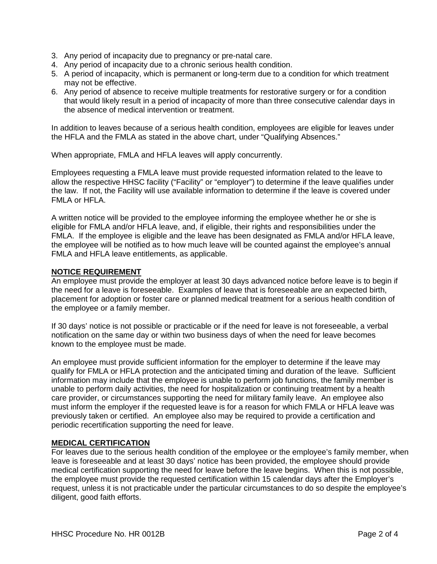- 3. Any period of incapacity due to pregnancy or pre-natal care.
- 4. Any period of incapacity due to a chronic serious health condition.
- 5. A period of incapacity, which is permanent or long-term due to a condition for which treatment may not be effective.
- 6. Any period of absence to receive multiple treatments for restorative surgery or for a condition that would likely result in a period of incapacity of more than three consecutive calendar days in the absence of medical intervention or treatment.

In addition to leaves because of a serious health condition, employees are eligible for leaves under the HFLA and the FMLA as stated in the above chart, under "Qualifying Absences."

When appropriate, FMLA and HFLA leaves will apply concurrently.

Employees requesting a FMLA leave must provide requested information related to the leave to allow the respective HHSC facility ("Facility" or "employer") to determine if the leave qualifies under the law. If not, the Facility will use available information to determine if the leave is covered under FMLA or HFLA.

A written notice will be provided to the employee informing the employee whether he or she is eligible for FMLA and/or HFLA leave, and, if eligible, their rights and responsibilities under the FMLA. If the employee is eligible and the leave has been designated as FMLA and/or HFLA leave, the employee will be notified as to how much leave will be counted against the employee's annual FMLA and HFLA leave entitlements, as applicable.

## **NOTICE REQUIREMENT**

An employee must provide the employer at least 30 days advanced notice before leave is to begin if the need for a leave is foreseeable. Examples of leave that is foreseeable are an expected birth, placement for adoption or foster care or planned medical treatment for a serious health condition of the employee or a family member.

If 30 days' notice is not possible or practicable or if the need for leave is not foreseeable, a verbal notification on the same day or within two business days of when the need for leave becomes known to the employee must be made.

An employee must provide sufficient information for the employer to determine if the leave may qualify for FMLA or HFLA protection and the anticipated timing and duration of the leave. Sufficient information may include that the employee is unable to perform job functions, the family member is unable to perform daily activities, the need for hospitalization or continuing treatment by a health care provider, or circumstances supporting the need for military family leave. An employee also must inform the employer if the requested leave is for a reason for which FMLA or HFLA leave was previously taken or certified. An employee also may be required to provide a certification and periodic recertification supporting the need for leave.

# **MEDICAL CERTIFICATION**

For leaves due to the serious health condition of the employee or the employee's family member, when leave is foreseeable and at least 30 days' notice has been provided, the employee should provide medical certification supporting the need for leave before the leave begins. When this is not possible, the employee must provide the requested certification within 15 calendar days after the Employer's request, unless it is not practicable under the particular circumstances to do so despite the employee's diligent, good faith efforts.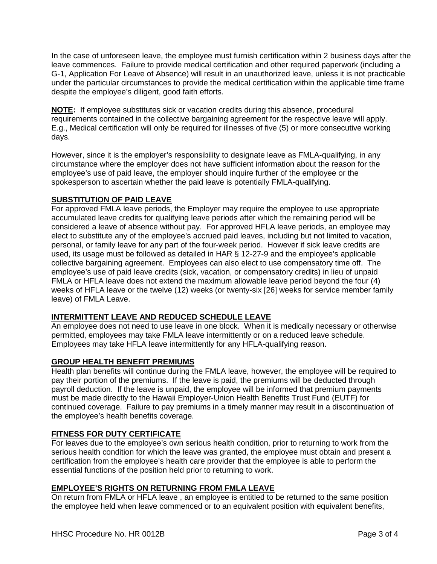In the case of unforeseen leave, the employee must furnish certification within 2 business days after the leave commences. Failure to provide medical certification and other required paperwork (including a G-1, Application For Leave of Absence) will result in an unauthorized leave, unless it is not practicable under the particular circumstances to provide the medical certification within the applicable time frame despite the employee's diligent, good faith efforts.

**NOTE:** If employee substitutes sick or vacation credits during this absence, procedural requirements contained in the collective bargaining agreement for the respective leave will apply. E.g., Medical certification will only be required for illnesses of five (5) or more consecutive working days.

However, since it is the employer's responsibility to designate leave as FMLA-qualifying, in any circumstance where the employer does not have sufficient information about the reason for the employee's use of paid leave, the employer should inquire further of the employee or the spokesperson to ascertain whether the paid leave is potentially FMLA-qualifying.

# **SUBSTITUTION OF PAID LEAVE**

For approved FMLA leave periods, the Employer may require the employee to use appropriate accumulated leave credits for qualifying leave periods after which the remaining period will be considered a leave of absence without pay. For approved HFLA leave periods, an employee may elect to substitute any of the employee's accrued paid leaves, including but not limited to vacation, personal, or family leave for any part of the four-week period. However if sick leave credits are used, its usage must be followed as detailed in HAR § 12-27-9 and the employee's applicable collective bargaining agreement. Employees can also elect to use compensatory time off. The employee's use of paid leave credits (sick, vacation, or compensatory credits) in lieu of unpaid FMLA or HFLA leave does not extend the maximum allowable leave period beyond the four (4) weeks of HFLA leave or the twelve (12) weeks (or twenty-six [26] weeks for service member family leave) of FMLA Leave.

# **INTERMITTENT LEAVE AND REDUCED SCHEDULE LEAVE**

An employee does not need to use leave in one block. When it is medically necessary or otherwise permitted, employees may take FMLA leave intermittently or on a reduced leave schedule. Employees may take HFLA leave intermittently for any HFLA-qualifying reason.

# **GROUP HEALTH BENEFIT PREMIUMS**

Health plan benefits will continue during the FMLA leave, however, the employee will be required to pay their portion of the premiums. If the leave is paid, the premiums will be deducted through payroll deduction. If the leave is unpaid, the employee will be informed that premium payments must be made directly to the Hawaii Employer-Union Health Benefits Trust Fund (EUTF) for continued coverage. Failure to pay premiums in a timely manner may result in a discontinuation of the employee's health benefits coverage.

# **FITNESS FOR DUTY CERTIFICATE**

For leaves due to the employee's own serious health condition, prior to returning to work from the serious health condition for which the leave was granted, the employee must obtain and present a certification from the employee's health care provider that the employee is able to perform the essential functions of the position held prior to returning to work.

# **EMPLOYEE'S RIGHTS ON RETURNING FROM FMLA LEAVE**

On return from FMLA or HFLA leave , an employee is entitled to be returned to the same position the employee held when leave commenced or to an equivalent position with equivalent benefits,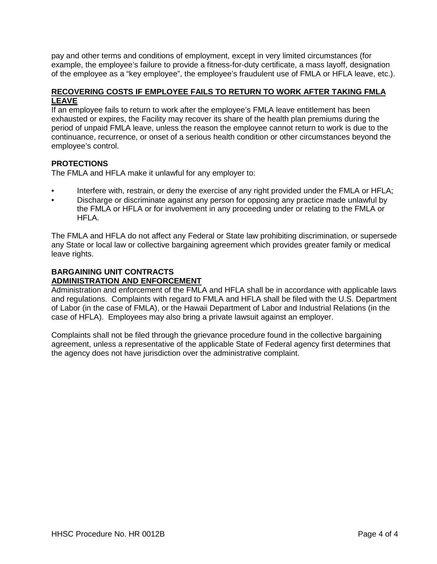pay and other terms and conditions of employment, except in very limited circumstances (for example, the employee's failure to provide a fitness-for-duty certificate, a mass layoff, designation of the employee as a "key employee", the employee's fraudulent use of FMLA or HFLA leave, etc.).

## **RECOVERING COSTS IF EMPLOYEE FAILS TO RETURN TO WORK AFTER TAKING FMLA LEAVE**

If an employee fails to return to work after the employee's FMLA leave entitlement has been exhausted or expires, the Facility may recover its share of the health plan premiums during the period of unpaid FMLA leave, unless the reason the employee cannot return to work is due to the continuance, recurrence, or onset of a serious health condition or other circumstances beyond the employee's control.

# **PROTECTIONS**

The FMLA and HFLA make it unlawful for any employer to:

- Interfere with, restrain, or deny the exercise of any right provided under the FMLA or HFLA;
- Discharge or discriminate against any person for opposing any practice made unlawful by the FMLA or HFLA or for involvement in any proceeding under or relating to the FMLA or HFLA.

The FMLA and HFLA do not affect any Federal or State law prohibiting discrimination, or supersede any State or local law or collective bargaining agreement which provides greater family or medical leave rights.

## **BARGAINING UNIT CONTRACTS ADMINISTRATION AND ENFORCEMENT**

Administration and enforcement of the FMLA and HFLA shall be in accordance with applicable laws and regulations. Complaints with regard to FMLA and HFLA shall be filed with the U.S. Department of Labor (in the case of FMLA), or the Hawaii Department of Labor and Industrial Relations (in the case of HFLA). Employees may also bring a private lawsuit against an employer.

Complaints shall not be filed through the grievance procedure found in the collective bargaining agreement, unless a representative of the applicable State of Federal agency first determines that the agency does not have jurisdiction over the administrative complaint.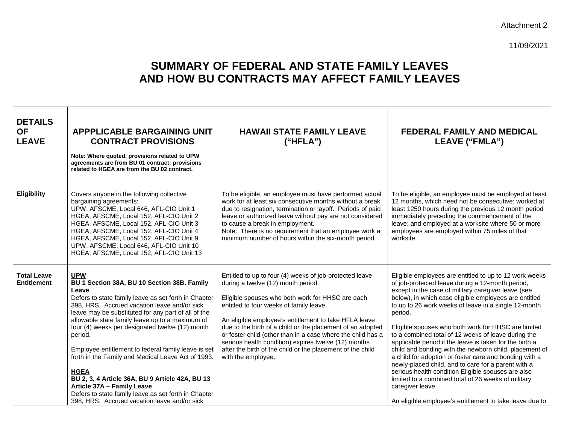## Attachment 2

11/09/2021

# **SUMMARY OF FEDERAL AND STATE FAMILY LEAVES AND HOW BU CONTRACTS MAY AFFECT FAMILY LEAVES**

| <b>DETAILS</b><br><b>OF</b><br><b>LEAVE</b> | <b>APPPLICABLE BARGAINING UNIT</b><br><b>CONTRACT PROVISIONS</b><br>Note: Where quoted, provisions related to UPW<br>agreements are from BU 01 contract; provisions<br>related to HGEA are from the BU 02 contract.                                                                                                                                                                                                                                                                                                                                                                                                                                                     | <b>HAWAII STATE FAMILY LEAVE</b><br>(''HFLA")                                                                                                                                                                                                                                                                                                                                                                                                                                                                                  | <b>FEDERAL FAMILY AND MEDICAL</b><br>LEAVE ("FMLA")                                                                                                                                                                                                                                                                                                                                                                                                                                                                                                                                                                                                                                                                                                                                                                                           |
|---------------------------------------------|-------------------------------------------------------------------------------------------------------------------------------------------------------------------------------------------------------------------------------------------------------------------------------------------------------------------------------------------------------------------------------------------------------------------------------------------------------------------------------------------------------------------------------------------------------------------------------------------------------------------------------------------------------------------------|--------------------------------------------------------------------------------------------------------------------------------------------------------------------------------------------------------------------------------------------------------------------------------------------------------------------------------------------------------------------------------------------------------------------------------------------------------------------------------------------------------------------------------|-----------------------------------------------------------------------------------------------------------------------------------------------------------------------------------------------------------------------------------------------------------------------------------------------------------------------------------------------------------------------------------------------------------------------------------------------------------------------------------------------------------------------------------------------------------------------------------------------------------------------------------------------------------------------------------------------------------------------------------------------------------------------------------------------------------------------------------------------|
| Eligibility                                 | Covers anyone in the following collective<br>bargaining agreements:<br>UPW, AFSCME, Local 646, AFL-CIO Unit 1<br>HGEA, AFSCME, Local 152, AFL-CIO Unit 2<br>HGEA, AFSCME, Local 152, AFL-CIO Unit 3<br>HGEA, AFSCME, Local 152, AFL-CIO Unit 4<br>HGEA, AFSCME, Local 152, AFL-CIO Unit 9<br>UPW, AFSCME, Local 646, AFL-CIO Unit 10<br>HGEA, AFSCME, Local 152, AFL-CIO Unit 13                                                                                                                                                                                                                                                                                        | To be eligible, an employee must have performed actual<br>work for at least six consecutive months without a break<br>due to resignation, termination or layoff. Periods of paid<br>leave or authorized leave without pay are not considered<br>to cause a break in employment.<br>Note: There is no requirement that an employee work a<br>minimum number of hours within the six-month period.                                                                                                                               | To be eligible, an employee must be employed at least<br>12 months, which need not be consecutive; worked at<br>least 1250 hours during the previous 12 month period<br>immediately preceding the commencement of the<br>leave; and employed at a worksite where 50 or more<br>employees are employed within 75 miles of that<br>worksite.                                                                                                                                                                                                                                                                                                                                                                                                                                                                                                    |
| <b>Total Leave</b><br><b>Entitlement</b>    | <b>UPW</b><br>BU 1 Section 38A, BU 10 Section 38B. Family<br>Leave<br>Defers to state family leave as set forth in Chapter<br>398, HRS. Accrued vacation leave and/or sick<br>leave may be substituted for any part of all of the<br>allowable state family leave up to a maximum of<br>four (4) weeks per designated twelve (12) month<br>period.<br>Employee entitlement to federal family leave is set<br>forth in the Family and Medical Leave Act of 1993.<br><b>HGEA</b><br>BU 2, 3, 4 Article 36A, BU 9 Article 42A, BU 13<br>Article 37A - Family Leave<br>Defers to state family leave as set forth in Chapter<br>398. HRS. Accrued vacation leave and/or sick | Entitled to up to four (4) weeks of job-protected leave<br>during a twelve (12) month period.<br>Eligible spouses who both work for HHSC are each<br>entitled to four weeks of family leave.<br>An eligible employee's entitlement to take HFLA leave<br>due to the birth of a child or the placement of an adopted<br>or foster child (other than in a case where the child has a<br>serious health condition) expires twelve (12) months<br>after the birth of the child or the placement of the child<br>with the employee. | Eligible employees are entitled to up to 12 work weeks<br>of job-protected leave during a 12-month period,<br>except in the case of military caregiver leave (see<br>below), in which case eligible employees are entitled<br>to up to 26 work weeks of leave in a single 12-month<br>period.<br>Eligible spouses who both work for HHSC are limited<br>to a combined total of 12 weeks of leave during the<br>applicable period if the leave is taken for the birth a<br>child and bonding with the newborn child, placement of<br>a child for adoption or foster care and bonding with a<br>newly-placed child, and to care for a parent with a<br>serious health condition Eligible spouses are also<br>limited to a combined total of 26 weeks of military<br>caregiver leave.<br>An eligible employee's entitlement to take leave due to |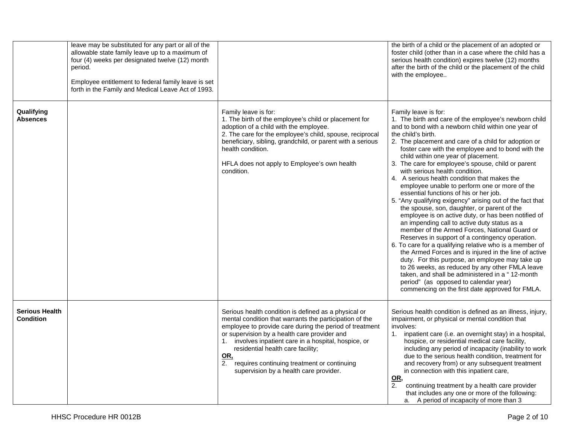|                                           | leave may be substituted for any part or all of the<br>allowable state family leave up to a maximum of<br>four (4) weeks per designated twelve (12) month<br>period.<br>Employee entitlement to federal family leave is set<br>forth in the Family and Medical Leave Act of 1993. |                                                                                                                                                                                                                                                                                                                                                                                                                             | the birth of a child or the placement of an adopted or<br>foster child (other than in a case where the child has a<br>serious health condition) expires twelve (12) months<br>after the birth of the child or the placement of the child<br>with the employee                                                                                                                                                                                                                                                                                                                                                                                                                                                                                                                                                                                                                                                                                                                                                                                                                                                                                                                                                                                      |
|-------------------------------------------|-----------------------------------------------------------------------------------------------------------------------------------------------------------------------------------------------------------------------------------------------------------------------------------|-----------------------------------------------------------------------------------------------------------------------------------------------------------------------------------------------------------------------------------------------------------------------------------------------------------------------------------------------------------------------------------------------------------------------------|----------------------------------------------------------------------------------------------------------------------------------------------------------------------------------------------------------------------------------------------------------------------------------------------------------------------------------------------------------------------------------------------------------------------------------------------------------------------------------------------------------------------------------------------------------------------------------------------------------------------------------------------------------------------------------------------------------------------------------------------------------------------------------------------------------------------------------------------------------------------------------------------------------------------------------------------------------------------------------------------------------------------------------------------------------------------------------------------------------------------------------------------------------------------------------------------------------------------------------------------------|
| Qualifying<br><b>Absences</b>             |                                                                                                                                                                                                                                                                                   | Family leave is for:<br>1. The birth of the employee's child or placement for<br>adoption of a child with the employee.<br>2. The care for the employee's child, spouse, reciprocal<br>beneficiary, sibling, grandchild, or parent with a serious<br>health condition.<br>HFLA does not apply to Employee's own health<br>condition.                                                                                        | Family leave is for:<br>1. The birth and care of the employee's newborn child<br>and to bond with a newborn child within one year of<br>the child's birth.<br>2. The placement and care of a child for adoption or<br>foster care with the employee and to bond with the<br>child within one year of placement.<br>3. The care for employee's spouse, child or parent<br>with serious health condition.<br>4. A serious health condition that makes the<br>employee unable to perform one or more of the<br>essential functions of his or her job.<br>5. "Any qualifying exigency" arising out of the fact that<br>the spouse, son, daughter, or parent of the<br>employee is on active duty, or has been notified of<br>an impending call to active duty status as a<br>member of the Armed Forces, National Guard or<br>Reserves in support of a contingency operation.<br>6. To care for a qualifying relative who is a member of<br>the Armed Forces and is injured in the line of active<br>duty. For this purpose, an employee may take up<br>to 26 weeks, as reduced by any other FMLA leave<br>taken, and shall be administered in a "12-month<br>period" (as opposed to calendar year)<br>commencing on the first date approved for FMLA. |
| <b>Serious Health</b><br><b>Condition</b> |                                                                                                                                                                                                                                                                                   | Serious health condition is defined as a physical or<br>mental condition that warrants the participation of the<br>employee to provide care during the period of treatment<br>or supervision by a health care provider and<br>1. involves inpatient care in a hospital, hospice, or<br>residential health care facility;<br>OR,<br>2. requires continuing treatment or continuing<br>supervision by a health care provider. | Serious health condition is defined as an illness, injury,<br>impairment, or physical or mental condition that<br>involves:<br>inpatient care (i.e. an overnight stay) in a hospital,<br>1.<br>hospice, or residential medical care facility,<br>including any period of incapacity (inability to work<br>due to the serious health condition, treatment for<br>and recovery from) or any subsequent treatment<br>in connection with this inpatient care,<br><u>OR,</u><br>2.<br>continuing treatment by a health care provider<br>that includes any one or more of the following:<br>a. A period of incapacity of more than 3                                                                                                                                                                                                                                                                                                                                                                                                                                                                                                                                                                                                                     |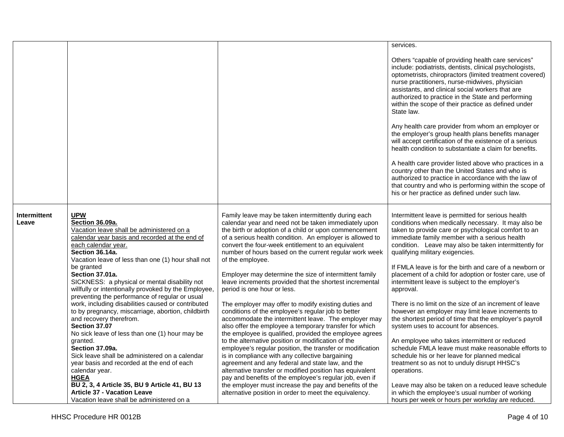|                       |                                                                                                                                                                                                                              |                                                                                                                                                                                                                                                                                                                                                                       | services.                                                                                                                                                                                                                                                                                                                                                                                                 |
|-----------------------|------------------------------------------------------------------------------------------------------------------------------------------------------------------------------------------------------------------------------|-----------------------------------------------------------------------------------------------------------------------------------------------------------------------------------------------------------------------------------------------------------------------------------------------------------------------------------------------------------------------|-----------------------------------------------------------------------------------------------------------------------------------------------------------------------------------------------------------------------------------------------------------------------------------------------------------------------------------------------------------------------------------------------------------|
|                       |                                                                                                                                                                                                                              |                                                                                                                                                                                                                                                                                                                                                                       |                                                                                                                                                                                                                                                                                                                                                                                                           |
|                       |                                                                                                                                                                                                                              |                                                                                                                                                                                                                                                                                                                                                                       | Others "capable of providing health care services"<br>include: podiatrists, dentists, clinical psychologists,<br>optometrists, chiropractors (limited treatment covered)<br>nurse practitioners, nurse-midwives, physician<br>assistants, and clinical social workers that are<br>authorized to practice in the State and performing<br>within the scope of their practice as defined under<br>State law. |
|                       |                                                                                                                                                                                                                              |                                                                                                                                                                                                                                                                                                                                                                       | Any health care provider from whom an employer or<br>the employer's group health plans benefits manager<br>will accept certification of the existence of a serious<br>health condition to substantiate a claim for benefits.                                                                                                                                                                              |
|                       |                                                                                                                                                                                                                              |                                                                                                                                                                                                                                                                                                                                                                       | A health care provider listed above who practices in a<br>country other than the United States and who is<br>authorized to practice in accordance with the law of<br>that country and who is performing within the scope of<br>his or her practice as defined under such law.                                                                                                                             |
| Intermittent<br>Leave | <b>UPW</b><br>Section 36.09a.<br>Vacation leave shall be administered on a<br>calendar year basis and recorded at the end of<br>each calendar year.<br>Section 36.14a.<br>Vacation leave of less than one (1) hour shall not | Family leave may be taken intermittently during each<br>calendar year and need not be taken immediately upon<br>the birth or adoption of a child or upon commencement<br>of a serious health condition. An employer is allowed to<br>convert the four-week entitlement to an equivalent<br>number of hours based on the current regular work week<br>of the employee. | Intermittent leave is permitted for serious health<br>conditions when medically necessary. It may also be<br>taken to provide care or psychological comfort to an<br>immediate family member with a serious health<br>condition. Leave may also be taken intermittently for<br>qualifying military exigencies.                                                                                            |
|                       | be granted<br>Section 37.01a.<br>SICKNESS: a physical or mental disability not<br>willfully or intentionally provoked by the Employee,<br>preventing the performance of regular or usual                                     | Employer may determine the size of intermittent family<br>leave increments provided that the shortest incremental<br>period is one hour or less.                                                                                                                                                                                                                      | If FMLA leave is for the birth and care of a newborn or<br>placement of a child for adoption or foster care, use of<br>intermittent leave is subject to the employer's<br>approval.                                                                                                                                                                                                                       |
|                       | work, including disabilities caused or contributed<br>to by pregnancy, miscarriage, abortion, childbirth<br>and recovery therefrom.<br>Section 37.07<br>No sick leave of less than one (1) hour may be                       | The employer may offer to modify existing duties and<br>conditions of the employee's regular job to better<br>accommodate the intermittent leave. The employer may<br>also offer the employee a temporary transfer for which<br>the employee is qualified, provided the employee agrees                                                                               | There is no limit on the size of an increment of leave<br>however an employer may limit leave increments to<br>the shortest period of time that the employer's payroll<br>system uses to account for absences.                                                                                                                                                                                            |
|                       | granted.<br>Section 37.09a.<br>Sick leave shall be administered on a calendar<br>year basis and recorded at the end of each<br>calendar year.<br><b>HGEA</b>                                                                 | to the alternative position or modification of the<br>employee's regular position, the transfer or modification<br>is in compliance with any collective bargaining<br>agreement and any federal and state law, and the<br>alternative transfer or modified position has equivalent<br>pay and benefits of the employee's regular job, even if                         | An employee who takes intermittent or reduced<br>schedule FMLA leave must make reasonable efforts to<br>schedule his or her leave for planned medical<br>treatment so as not to unduly disrupt HHSC's<br>operations.                                                                                                                                                                                      |
|                       | BU 2, 3, 4 Article 35, BU 9 Article 41, BU 13<br><b>Article 37 - Vacation Leave</b><br>Vacation leave shall be administered on a                                                                                             | the employer must increase the pay and benefits of the<br>alternative position in order to meet the equivalency.                                                                                                                                                                                                                                                      | Leave may also be taken on a reduced leave schedule<br>in which the employee's usual number of working<br>hours per week or hours per workday are reduced.                                                                                                                                                                                                                                                |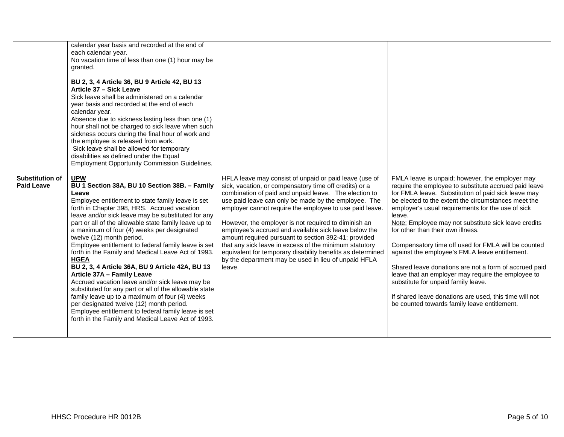|                                             | calendar year basis and recorded at the end of<br>each calendar year.<br>No vacation time of less than one (1) hour may be<br>granted.<br>BU 2, 3, 4 Article 36, BU 9 Article 42, BU 13<br>Article 37 - Sick Leave<br>Sick leave shall be administered on a calendar<br>year basis and recorded at the end of each<br>calendar year.<br>Absence due to sickness lasting less than one (1)<br>hour shall not be charged to sick leave when such<br>sickness occurs during the final hour of work and<br>the employee is released from work.<br>Sick leave shall be allowed for temporary<br>disabilities as defined under the Equal<br><b>Employment Opportunity Commission Guidelines.</b>                                                                                                                                                                                                              |                                                                                                                                                                                                                                                                                                                                                                                                                                                                                                                                                                                                                                                                 |                                                                                                                                                                                                                                                                                                                                                                                                                                                                                                                                                                                                                                                                                                                                                             |
|---------------------------------------------|---------------------------------------------------------------------------------------------------------------------------------------------------------------------------------------------------------------------------------------------------------------------------------------------------------------------------------------------------------------------------------------------------------------------------------------------------------------------------------------------------------------------------------------------------------------------------------------------------------------------------------------------------------------------------------------------------------------------------------------------------------------------------------------------------------------------------------------------------------------------------------------------------------|-----------------------------------------------------------------------------------------------------------------------------------------------------------------------------------------------------------------------------------------------------------------------------------------------------------------------------------------------------------------------------------------------------------------------------------------------------------------------------------------------------------------------------------------------------------------------------------------------------------------------------------------------------------------|-------------------------------------------------------------------------------------------------------------------------------------------------------------------------------------------------------------------------------------------------------------------------------------------------------------------------------------------------------------------------------------------------------------------------------------------------------------------------------------------------------------------------------------------------------------------------------------------------------------------------------------------------------------------------------------------------------------------------------------------------------------|
| <b>Substitution of</b><br><b>Paid Leave</b> | <b>UPW</b><br>BU 1 Section 38A, BU 10 Section 38B. - Family<br>Leave<br>Employee entitlement to state family leave is set<br>forth in Chapter 398, HRS. Accrued vacation<br>leave and/or sick leave may be substituted for any<br>part or all of the allowable state family leave up to<br>a maximum of four (4) weeks per designated<br>twelve (12) month period.<br>Employee entitlement to federal family leave is set<br>forth in the Family and Medical Leave Act of 1993.<br><b>HGEA</b><br>BU 2, 3, 4 Article 36A, BU 9 Article 42A, BU 13<br>Article 37A - Family Leave<br>Accrued vacation leave and/or sick leave may be<br>substituted for any part or all of the allowable state<br>family leave up to a maximum of four (4) weeks<br>per designated twelve (12) month period.<br>Employee entitlement to federal family leave is set<br>forth in the Family and Medical Leave Act of 1993. | HFLA leave may consist of unpaid or paid leave (use of<br>sick, vacation, or compensatory time off credits) or a<br>combination of paid and unpaid leave. The election to<br>use paid leave can only be made by the employee. The<br>employer cannot require the employee to use paid leave.<br>However, the employer is not required to diminish an<br>employee's accrued and available sick leave below the<br>amount required pursuant to section 392-41; provided<br>that any sick leave in excess of the minimum statutory<br>equivalent for temporary disability benefits as determined<br>by the department may be used in lieu of unpaid HFLA<br>leave. | FMLA leave is unpaid; however, the employer may<br>require the employee to substitute accrued paid leave<br>for FMLA leave. Substitution of paid sick leave may<br>be elected to the extent the circumstances meet the<br>employer's usual requirements for the use of sick<br>leave.<br>Note: Employee may not substitute sick leave credits<br>for other than their own illness.<br>Compensatory time off used for FMLA will be counted<br>against the employee's FMLA leave entitlement.<br>Shared leave donations are not a form of accrued paid<br>leave that an employer may require the employee to<br>substitute for unpaid family leave.<br>If shared leave donations are used, this time will not<br>be counted towards family leave entitlement. |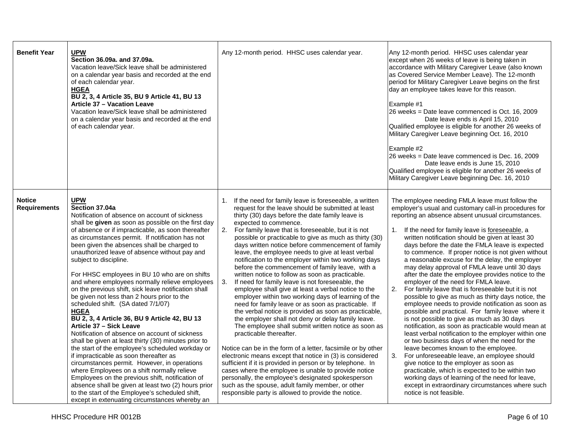| <b>Benefit Year</b>                  | <b>UPW</b><br>Section 36.09a. and 37.09a.<br>Vacation leave/Sick leave shall be administered<br>on a calendar year basis and recorded at the end<br>of each calendar year.<br><b>HGEA</b><br>BU 2, 3, 4 Article 35, BU 9 Article 41, BU 13<br>Article 37 - Vacation Leave<br>Vacation leave/Sick leave shall be administered<br>on a calendar year basis and recorded at the end<br>of each calendar year.                                                                                                                                                                                                                                                                                                                                                                                                                                                                                                                                                                                                                                                                                                                                                                                                                                  | Any 12-month period. HHSC uses calendar year.                                                                                                                                                                                                                                                                                                                                                                                                                                                                                                                                                                                                                                                                                                                                                                                                                                                                                                                                                                                                                                                                                                                                                                                                                                                                                                                                                                                                       | Any 12-month period. HHSC uses calendar year<br>except when 26 weeks of leave is being taken in<br>accordance with Military Caregiver Leave (also known<br>as Covered Service Member Leave). The 12-month<br>period for Military Caregiver Leave begins on the first<br>day an employee takes leave for this reason.<br>Example #1<br>26 weeks = Date leave commenced is Oct. 16, 2009<br>Date leave ends is April 15, 2010<br>Qualified employee is eligible for another 26 weeks of<br>Military Caregiver Leave beginning Oct. 16, 2010<br>Example #2<br>26 weeks = Date leave commenced is Dec. 16, 2009<br>Date leave ends is June 15, 2010<br>Qualified employee is eligible for another 26 weeks of<br>Military Caregiver Leave beginning Dec. 16, 2010                                                                                                                                                                                                                                                                                                                                                                                                                                                                                                                                                                                             |
|--------------------------------------|---------------------------------------------------------------------------------------------------------------------------------------------------------------------------------------------------------------------------------------------------------------------------------------------------------------------------------------------------------------------------------------------------------------------------------------------------------------------------------------------------------------------------------------------------------------------------------------------------------------------------------------------------------------------------------------------------------------------------------------------------------------------------------------------------------------------------------------------------------------------------------------------------------------------------------------------------------------------------------------------------------------------------------------------------------------------------------------------------------------------------------------------------------------------------------------------------------------------------------------------|-----------------------------------------------------------------------------------------------------------------------------------------------------------------------------------------------------------------------------------------------------------------------------------------------------------------------------------------------------------------------------------------------------------------------------------------------------------------------------------------------------------------------------------------------------------------------------------------------------------------------------------------------------------------------------------------------------------------------------------------------------------------------------------------------------------------------------------------------------------------------------------------------------------------------------------------------------------------------------------------------------------------------------------------------------------------------------------------------------------------------------------------------------------------------------------------------------------------------------------------------------------------------------------------------------------------------------------------------------------------------------------------------------------------------------------------------------|-----------------------------------------------------------------------------------------------------------------------------------------------------------------------------------------------------------------------------------------------------------------------------------------------------------------------------------------------------------------------------------------------------------------------------------------------------------------------------------------------------------------------------------------------------------------------------------------------------------------------------------------------------------------------------------------------------------------------------------------------------------------------------------------------------------------------------------------------------------------------------------------------------------------------------------------------------------------------------------------------------------------------------------------------------------------------------------------------------------------------------------------------------------------------------------------------------------------------------------------------------------------------------------------------------------------------------------------------------------|
| <b>Notice</b><br><b>Requirements</b> | <b>UPW</b><br>Section 37.04a<br>Notification of absence on account of sickness<br>shall be given as soon as possible on the first day<br>of absence or if impracticable, as soon thereafter<br>as circumstances permit. If notification has not<br>been given the absences shall be charged to<br>unauthorized leave of absence without pay and<br>subject to discipline.<br>For HHSC employees in BU 10 who are on shifts<br>and where employees normally relieve employees<br>on the previous shift, sick leave notification shall<br>be given not less than 2 hours prior to the<br>scheduled shift. (SA dated 7/1/07)<br><b>HGEA</b><br>BU 2, 3, 4 Article 36, BU 9 Article 42, BU 13<br>Article 37 - Sick Leave<br>Notification of absence on account of sickness<br>shall be given at least thirty (30) minutes prior to<br>the start of the employee's scheduled workday or<br>if impracticable as soon thereafter as<br>circumstances permit. However, in operations<br>where Employees on a shift normally relieve<br>Employees on the previous shift, notification of<br>absence shall be given at least two (2) hours prior<br>to the start of the Employee's scheduled shift,<br>except in extenuating circumstances whereby an | If the need for family leave is foreseeable, a written<br>1.<br>request for the leave should be submitted at least<br>thirty (30) days before the date family leave is<br>expected to commence.<br>For family leave that is foreseeable, but it is not<br>2.<br>possible or practicable to give as much as thirty (30)<br>days written notice before commencement of family<br>leave, the employee needs to give at least verbal<br>notification to the employer within two working days<br>before the commencement of family leave, with a<br>written notice to follow as soon as practicable.<br>3.<br>If need for family leave is not foreseeable, the<br>employee shall give at least a verbal notice to the<br>employer within two working days of learning of the<br>need for family leave or as soon as practicable. If<br>the verbal notice is provided as soon as practicable,<br>the employer shall not deny or delay family leave.<br>The employee shall submit written notice as soon as<br>practicable thereafter.<br>Notice can be in the form of a letter, facsimile or by other<br>electronic means except that notice in (3) is considered<br>sufficient if it is provided in person or by telephone. In<br>cases where the employee is unable to provide notice<br>personally, the employee's designated spokesperson<br>such as the spouse, adult family member, or other<br>responsible party is allowed to provide the notice. | The employee needing FMLA leave must follow the<br>employer's usual and customary call-in procedures for<br>reporting an absence absent unusual circumstances.<br>1. If the need for family leave is foreseeable, a<br>written notification should be given at least 30<br>days before the date the FMLA leave is expected<br>to commence. If proper notice is not given without<br>a reasonable excuse for the delay, the employer<br>may delay approval of FMLA leave until 30 days<br>after the date the employee provides notice to the<br>employer of the need for FMLA leave.<br>2.<br>For family leave that is foreseeable but it is not<br>possible to give as much as thirty days notice, the<br>employee needs to provide notification as soon as<br>possible and practical. For family leave where it<br>is not possible to give as much as 30 days<br>notification, as soon as practicable would mean at<br>least verbal notification to the employer within one<br>or two business days of when the need for the<br>leave becomes known to the employee.<br>3.<br>For unforeseeable leave, an employee should<br>give notice to the employer as soon as<br>practicable, which is expected to be within two<br>working days of learning of the need for leave,<br>except in extraordinary circumstances where such<br>notice is not feasible. |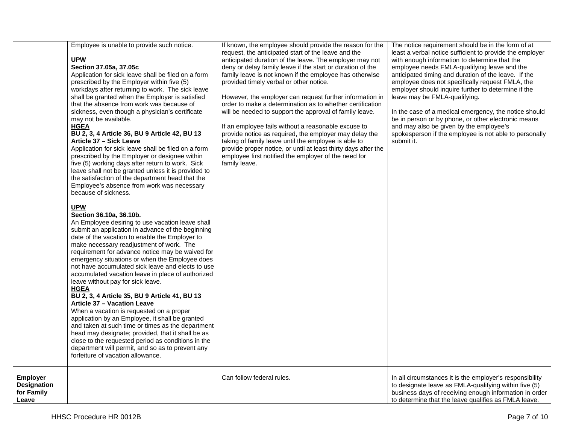|                                                              | Employee is unable to provide such notice.<br><b>UPW</b><br>Section 37.05a, 37.05c<br>Application for sick leave shall be filed on a form<br>prescribed by the Employer within five (5)<br>workdays after returning to work. The sick leave<br>shall be granted when the Employer is satisfied<br>that the absence from work was because of<br>sickness, even though a physician's certificate<br>may not be available.<br><b>HGEA</b><br>BU 2, 3, 4 Article 36, BU 9 Article 42, BU 13<br>Article 37 - Sick Leave<br>Application for sick leave shall be filed on a form<br>prescribed by the Employer or designee within<br>five (5) working days after return to work. Sick<br>leave shall not be granted unless it is provided to<br>the satisfaction of the department head that the<br>Employee's absence from work was necessary<br>because of sickness.<br><b>UPW</b><br>Section 36.10a, 36.10b.<br>An Employee desiring to use vacation leave shall<br>submit an application in advance of the beginning<br>date of the vacation to enable the Employer to<br>make necessary readjustment of work. The<br>requirement for advance notice may be waived for<br>emergency situations or when the Employee does<br>not have accumulated sick leave and elects to use<br>accumulated vacation leave in place of authorized<br>leave without pay for sick leave.<br><b>HGEA</b><br>BU 2, 3, 4 Article 35, BU 9 Article 41, BU 13<br><b>Article 37 - Vacation Leave</b><br>When a vacation is requested on a proper<br>application by an Employee, it shall be granted<br>and taken at such time or times as the department<br>head may designate; provided, that it shall be as<br>close to the requested period as conditions in the<br>department will permit, and so as to prevent any<br>forfeiture of vacation allowance. | If known, the employee should provide the reason for the<br>request, the anticipated start of the leave and the<br>anticipated duration of the leave. The employer may not<br>deny or delay family leave if the start or duration of the<br>family leave is not known if the employee has otherwise<br>provided timely verbal or other notice.<br>However, the employer can request further information in<br>order to make a determination as to whether certification<br>will be needed to support the approval of family leave.<br>If an employee fails without a reasonable excuse to<br>provide notice as required, the employer may delay the<br>taking of family leave until the employee is able to<br>provide proper notice, or until at least thirty days after the<br>employee first notified the employer of the need for<br>family leave. | The notice requirement should be in the form of at<br>least a verbal notice sufficient to provide the employer<br>with enough information to determine that the<br>employee needs FMLA-qualifying leave and the<br>anticipated timing and duration of the leave. If the<br>employee does not specifically request FMLA, the<br>employer should inquire further to determine if the<br>leave may be FMLA-qualifying.<br>In the case of a medical emergency, the notice should<br>be in person or by phone, or other electronic means<br>and may also be given by the employee's<br>spokesperson if the employee is not able to personally<br>submit it. |
|--------------------------------------------------------------|------------------------------------------------------------------------------------------------------------------------------------------------------------------------------------------------------------------------------------------------------------------------------------------------------------------------------------------------------------------------------------------------------------------------------------------------------------------------------------------------------------------------------------------------------------------------------------------------------------------------------------------------------------------------------------------------------------------------------------------------------------------------------------------------------------------------------------------------------------------------------------------------------------------------------------------------------------------------------------------------------------------------------------------------------------------------------------------------------------------------------------------------------------------------------------------------------------------------------------------------------------------------------------------------------------------------------------------------------------------------------------------------------------------------------------------------------------------------------------------------------------------------------------------------------------------------------------------------------------------------------------------------------------------------------------------------------------------------------------------------------------------------------------------------------------------------------------|--------------------------------------------------------------------------------------------------------------------------------------------------------------------------------------------------------------------------------------------------------------------------------------------------------------------------------------------------------------------------------------------------------------------------------------------------------------------------------------------------------------------------------------------------------------------------------------------------------------------------------------------------------------------------------------------------------------------------------------------------------------------------------------------------------------------------------------------------------|--------------------------------------------------------------------------------------------------------------------------------------------------------------------------------------------------------------------------------------------------------------------------------------------------------------------------------------------------------------------------------------------------------------------------------------------------------------------------------------------------------------------------------------------------------------------------------------------------------------------------------------------------------|
| <b>Employer</b><br><b>Designation</b><br>for Family<br>Leave |                                                                                                                                                                                                                                                                                                                                                                                                                                                                                                                                                                                                                                                                                                                                                                                                                                                                                                                                                                                                                                                                                                                                                                                                                                                                                                                                                                                                                                                                                                                                                                                                                                                                                                                                                                                                                                    | Can follow federal rules.                                                                                                                                                                                                                                                                                                                                                                                                                                                                                                                                                                                                                                                                                                                                                                                                                              | In all circumstances it is the employer's responsibility<br>to designate leave as FMLA-qualifying within five (5)<br>business days of receiving enough information in order<br>to determine that the leave qualifies as FMLA leave.                                                                                                                                                                                                                                                                                                                                                                                                                    |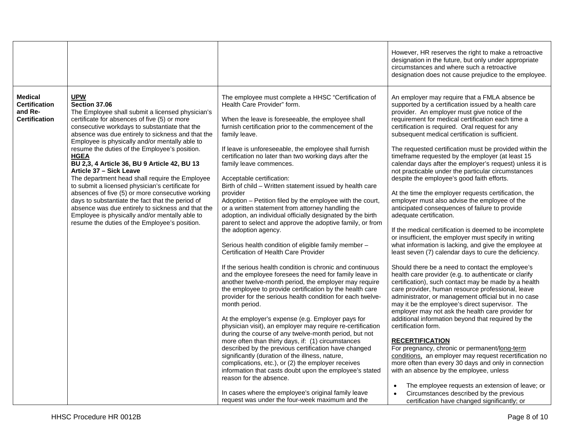|                                                                           |                                                                                                                                                                                                                                                                                                                                                                                                                                                                                                                                                                                                                                                                                                                                                                                                          |                                                                                                                                                                                                                                                                                                                                                                                                                                                                                                                                                                                                                                                                                                                                                                                                                                                                                                                                                                                                                                                                                                                                                                                                                                                                                                                                                                                                                                                                                                                                                                                                                                                                                                                                                                           | However, HR reserves the right to make a retroactive<br>designation in the future, but only under appropriate<br>circumstances and where such a retroactive<br>designation does not cause prejudice to the employee.                                                                                                                                                                                                                                                                                                                                                                                                                                                                                                                                                                                                                                                                                                                                                                                                                                                                                                                                                                                                                                                                                                                                                                                                                                                                                                                                                                                                                                                                                                                                                                                                                                                                       |
|---------------------------------------------------------------------------|----------------------------------------------------------------------------------------------------------------------------------------------------------------------------------------------------------------------------------------------------------------------------------------------------------------------------------------------------------------------------------------------------------------------------------------------------------------------------------------------------------------------------------------------------------------------------------------------------------------------------------------------------------------------------------------------------------------------------------------------------------------------------------------------------------|---------------------------------------------------------------------------------------------------------------------------------------------------------------------------------------------------------------------------------------------------------------------------------------------------------------------------------------------------------------------------------------------------------------------------------------------------------------------------------------------------------------------------------------------------------------------------------------------------------------------------------------------------------------------------------------------------------------------------------------------------------------------------------------------------------------------------------------------------------------------------------------------------------------------------------------------------------------------------------------------------------------------------------------------------------------------------------------------------------------------------------------------------------------------------------------------------------------------------------------------------------------------------------------------------------------------------------------------------------------------------------------------------------------------------------------------------------------------------------------------------------------------------------------------------------------------------------------------------------------------------------------------------------------------------------------------------------------------------------------------------------------------------|--------------------------------------------------------------------------------------------------------------------------------------------------------------------------------------------------------------------------------------------------------------------------------------------------------------------------------------------------------------------------------------------------------------------------------------------------------------------------------------------------------------------------------------------------------------------------------------------------------------------------------------------------------------------------------------------------------------------------------------------------------------------------------------------------------------------------------------------------------------------------------------------------------------------------------------------------------------------------------------------------------------------------------------------------------------------------------------------------------------------------------------------------------------------------------------------------------------------------------------------------------------------------------------------------------------------------------------------------------------------------------------------------------------------------------------------------------------------------------------------------------------------------------------------------------------------------------------------------------------------------------------------------------------------------------------------------------------------------------------------------------------------------------------------------------------------------------------------------------------------------------------------|
| <b>Medical</b><br><b>Certification</b><br>and Re-<br><b>Certification</b> | <b>UPW</b><br>Section 37.06<br>The Employee shall submit a licensed physician's<br>certificate for absences of five (5) or more<br>consecutive workdays to substantiate that the<br>absence was due entirely to sickness and that the<br>Employee is physically and/or mentally able to<br>resume the duties of the Employee's position.<br><b>HGEA</b><br>BU 2,3, 4 Article 36, BU 9 Article 42, BU 13<br>Article 37 - Sick Leave<br>The department head shall require the Employee<br>to submit a licensed physician's certificate for<br>absences of five (5) or more consecutive working<br>days to substantiate the fact that the period of<br>absence was due entirely to sickness and that the<br>Employee is physically and/or mentally able to<br>resume the duties of the Employee's position. | The employee must complete a HHSC "Certification of<br>Health Care Provider" form.<br>When the leave is foreseeable, the employee shall<br>furnish certification prior to the commencement of the<br>family leave.<br>If leave is unforeseeable, the employee shall furnish<br>certification no later than two working days after the<br>family leave commences.<br>Acceptable certification:<br>Birth of child - Written statement issued by health care<br>provider<br>Adoption - Petition filed by the employee with the court,<br>or a written statement from attorney handling the<br>adoption, an individual officially designated by the birth<br>parent to select and approve the adoptive family, or from<br>the adoption agency.<br>Serious health condition of eligible family member -<br>Certification of Health Care Provider<br>If the serious health condition is chronic and continuous<br>and the employee foresees the need for family leave in<br>another twelve-month period, the employer may require<br>the employee to provide certification by the health care<br>provider for the serious health condition for each twelve-<br>month period.<br>At the employer's expense (e.g. Employer pays for<br>physician visit), an employer may require re-certification<br>during the course of any twelve-month period, but not<br>more often than thirty days, if: (1) circumstances<br>described by the previous certification have changed<br>significantly (duration of the illness, nature,<br>complications, etc.), or (2) the employer receives<br>information that casts doubt upon the employee's stated<br>reason for the absence.<br>In cases where the employee's original family leave<br>request was under the four-week maximum and the | An employer may require that a FMLA absence be<br>supported by a certification issued by a health care<br>provider. An employer must give notice of the<br>requirement for medical certification each time a<br>certification is required. Oral request for any<br>subsequent medical certification is sufficient.<br>The requested certification must be provided within the<br>timeframe requested by the employer (at least 15<br>calendar days after the employer's request) unless it is<br>not practicable under the particular circumstances<br>despite the employee's good faith efforts.<br>At the time the employer requests certification, the<br>employer must also advise the employee of the<br>anticipated consequences of failure to provide<br>adequate certification.<br>If the medical certification is deemed to be incomplete<br>or insufficient, the employer must specify in writing<br>what information is lacking, and give the employee at<br>least seven (7) calendar days to cure the deficiency.<br>Should there be a need to contact the employee's<br>health care provider (e.g. to authenticate or clarify<br>certification), such contact may be made by a health<br>care provider, human resource professional, leave<br>administrator, or management official but in no case<br>may it be the employee's direct supervisor. The<br>employer may not ask the health care provider for<br>additional information beyond that required by the<br>certification form.<br><b>RECERTIFICATION</b><br>For pregnancy, chronic or permanent/long-term<br>conditions, an employer may request recertification no<br>more often than every 30 days and only in connection<br>with an absence by the employee, unless<br>The employee requests an extension of leave; or<br>Circumstances described by the previous<br>certification have changed significantly; or |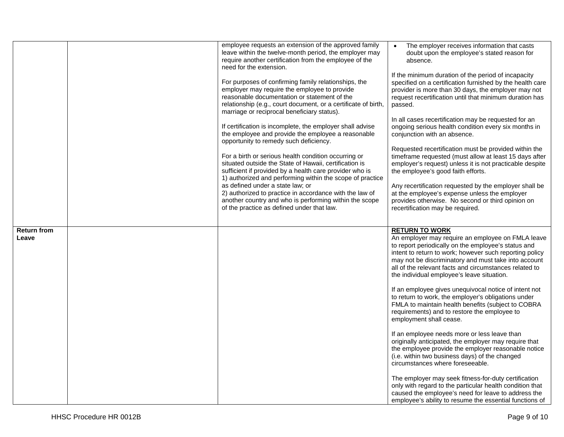|                             | employee requests an extension of the approved family<br>leave within the twelve-month period, the employer may<br>require another certification from the employee of the<br>need for the extension.                                                                  | The employer receives information that casts<br>doubt upon the employee's stated reason for<br>absence.                                                                                                                                                                                                                                                      |
|-----------------------------|-----------------------------------------------------------------------------------------------------------------------------------------------------------------------------------------------------------------------------------------------------------------------|--------------------------------------------------------------------------------------------------------------------------------------------------------------------------------------------------------------------------------------------------------------------------------------------------------------------------------------------------------------|
|                             | For purposes of confirming family relationships, the<br>employer may require the employee to provide<br>reasonable documentation or statement of the<br>relationship (e.g., court document, or a certificate of birth,<br>marriage or reciprocal beneficiary status). | If the minimum duration of the period of incapacity<br>specified on a certification furnished by the health care<br>provider is more than 30 days, the employer may not<br>request recertification until that minimum duration has<br>passed.                                                                                                                |
|                             | If certification is incomplete, the employer shall advise<br>the employee and provide the employee a reasonable<br>opportunity to remedy such deficiency.                                                                                                             | In all cases recertification may be requested for an<br>ongoing serious health condition every six months in<br>conjunction with an absence.                                                                                                                                                                                                                 |
|                             | For a birth or serious health condition occurring or<br>situated outside the State of Hawaii, certification is<br>sufficient if provided by a health care provider who is<br>1) authorized and performing within the scope of practice                                | Requested recertification must be provided within the<br>timeframe requested (must allow at least 15 days after<br>employer's request) unless it is not practicable despite<br>the employee's good faith efforts.                                                                                                                                            |
|                             | as defined under a state law; or<br>2) authorized to practice in accordance with the law of<br>another country and who is performing within the scope<br>of the practice as defined under that law.                                                                   | Any recertification requested by the employer shall be<br>at the employee's expense unless the employer<br>provides otherwise. No second or third opinion on<br>recertification may be required.                                                                                                                                                             |
|                             |                                                                                                                                                                                                                                                                       |                                                                                                                                                                                                                                                                                                                                                              |
| <b>Return from</b><br>Leave |                                                                                                                                                                                                                                                                       | <b>RETURN TO WORK</b><br>An employer may require an employee on FMLA leave<br>to report periodically on the employee's status and<br>intent to return to work; however such reporting policy<br>may not be discriminatory and must take into account<br>all of the relevant facts and circumstances related to<br>the individual employee's leave situation. |
|                             |                                                                                                                                                                                                                                                                       | If an employee gives unequivocal notice of intent not<br>to return to work, the employer's obligations under<br>FMLA to maintain health benefits (subject to COBRA<br>requirements) and to restore the employee to<br>employment shall cease.                                                                                                                |
|                             |                                                                                                                                                                                                                                                                       | If an employee needs more or less leave than<br>originally anticipated, the employer may require that<br>the employee provide the employer reasonable notice<br>(i.e. within two business days) of the changed<br>circumstances where foreseeable.                                                                                                           |
|                             |                                                                                                                                                                                                                                                                       | The employer may seek fitness-for-duty certification<br>only with regard to the particular health condition that<br>caused the employee's need for leave to address the<br>employee's ability to resume the essential functions of                                                                                                                           |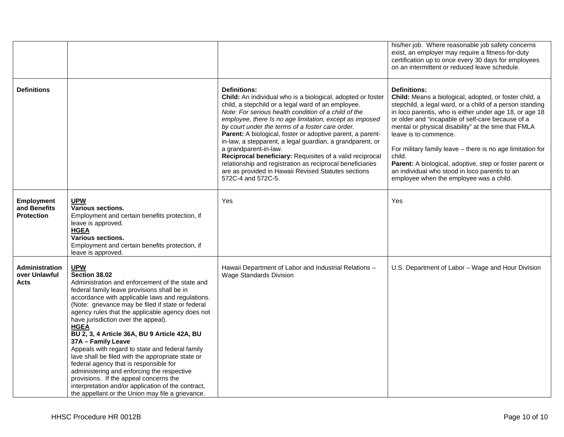|                                                        |                                                                                                                                                                                                                                                                                                                                                                                                                                                                                                                                                                                                                                                                                                                                                                            |                                                                                                                                                                                                                                                                                                                                                                                                                                                                                                                                                                                                                                                                           | his/her job. Where reasonable job safety concerns<br>exist, an employer may require a fitness-for-duty<br>certification up to once every 30 days for employees<br>on an intermittent or reduced leave schedule.                                                                                                                                                                                                                                                                                                                                                             |
|--------------------------------------------------------|----------------------------------------------------------------------------------------------------------------------------------------------------------------------------------------------------------------------------------------------------------------------------------------------------------------------------------------------------------------------------------------------------------------------------------------------------------------------------------------------------------------------------------------------------------------------------------------------------------------------------------------------------------------------------------------------------------------------------------------------------------------------------|---------------------------------------------------------------------------------------------------------------------------------------------------------------------------------------------------------------------------------------------------------------------------------------------------------------------------------------------------------------------------------------------------------------------------------------------------------------------------------------------------------------------------------------------------------------------------------------------------------------------------------------------------------------------------|-----------------------------------------------------------------------------------------------------------------------------------------------------------------------------------------------------------------------------------------------------------------------------------------------------------------------------------------------------------------------------------------------------------------------------------------------------------------------------------------------------------------------------------------------------------------------------|
| <b>Definitions</b>                                     |                                                                                                                                                                                                                                                                                                                                                                                                                                                                                                                                                                                                                                                                                                                                                                            | <b>Definitions:</b><br>Child: An individual who is a biological, adopted or foster<br>child, a stepchild or a legal ward of an employee.<br>Note: For serious health condition of a child of the<br>employee, there Is no age limitation, except as imposed<br>by court under the terms of a foster care order.<br>Parent: A biological, foster or adoptive parent, a parent-<br>in-law, a stepparent, a legal guardian, a grandparent, or<br>a grandparent-in-law.<br>Reciprocal beneficiary: Requisites of a valid reciprocal<br>relationship and registration as reciprocal beneficiaries<br>are as provided in Hawaii Revised Statutes sections<br>572C-4 and 572C-5. | <b>Definitions:</b><br>Child: Means a biological, adopted, or foster child, a<br>stepchild, a legal ward, or a child of a person standing<br>in loco parentis, who is either under age 18, or age 18<br>or older and "incapable of self-care because of a<br>mental or physical disability" at the time that FMLA<br>leave is to commence.<br>For military family leave - there is no age limitation for<br>child.<br>Parent: A biological, adoptive, step or foster parent or<br>an individual who stood in loco parentis to an<br>employee when the employee was a child. |
| <b>Employment</b><br>and Benefits<br><b>Protection</b> | <b>UPW</b><br><b>Various sections.</b><br>Employment and certain benefits protection, if<br>leave is approved.<br><b>HGEA</b><br><b>Various sections.</b><br>Employment and certain benefits protection, if<br>leave is approved.                                                                                                                                                                                                                                                                                                                                                                                                                                                                                                                                          | Yes                                                                                                                                                                                                                                                                                                                                                                                                                                                                                                                                                                                                                                                                       | Yes                                                                                                                                                                                                                                                                                                                                                                                                                                                                                                                                                                         |
| Administration<br>over Unlawful<br>Acts                | <b>UPW</b><br>Section 38.02<br>Administration and enforcement of the state and<br>federal family leave provisions shall be in<br>accordance with applicable laws and regulations.<br>(Note: grievance may be filed if state or federal<br>agency rules that the applicable agency does not<br>have jurisdiction over the appeal).<br><b>HGEA</b><br>BU 2, 3, 4 Article 36A, BU 9 Article 42A, BU<br>37A - Family Leave<br>Appeals with regard to state and federal family<br>lave shall be filed with the appropriate state or<br>federal agency that is responsible for<br>administering and enforcing the respective<br>provisions. If the appeal concerns the<br>interpretation and/or application of the contract,<br>the appellant or the Union may file a grievance. | Hawaii Department of Labor and Industrial Relations -<br><b>Wage Standards Division</b>                                                                                                                                                                                                                                                                                                                                                                                                                                                                                                                                                                                   | U.S. Department of Labor - Wage and Hour Division                                                                                                                                                                                                                                                                                                                                                                                                                                                                                                                           |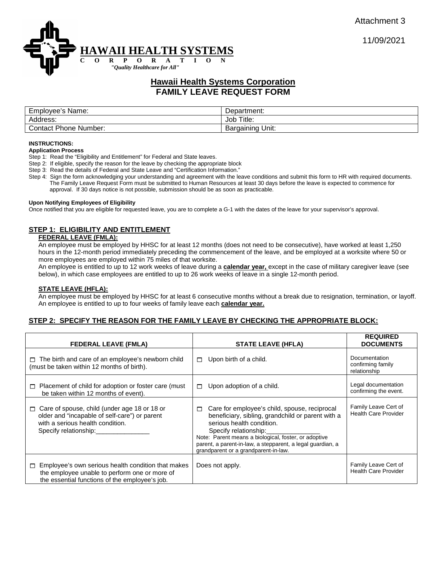



# **Hawaii Health Systems Corporation FAMILY LEAVE REQUEST FORM**

| Employee's Name:      | Department:         |
|-----------------------|---------------------|
| Address:              | Title.<br>Job       |
| Contact Phone Number: | Unit:<br>Bargaining |

#### **INSTRUCTIONS:**

#### **Application Process**

Step 1: Read the "Eligibility and Entitlement" for Federal and State leaves.

Step 2: If eligible, specify the reason for the leave by checking the appropriate block

Step 3: Read the details of Federal and State Leave and "Certification Information."

Step 4: Sign the form acknowledging your understanding and agreement with the leave conditions and submit this form to HR with required documents. The Family Leave Request Form must be submitted to Human Resources at least 30 days before the leave is expected to commence for approval. If 30 days notice is not possible, submission should be as soon as practicable.

#### **Upon Notifying Employees of Eligibility**

Once notified that you are eligible for requested leave, you are to complete a G-1 with the dates of the leave for your supervisor's approval.

### **STEP 1: ELIGIBILITY AND ENTITLEMENT**

### **FEDERAL LEAVE (FMLA):**

An employee must be employed by HHSC for at least 12 months (does not need to be consecutive), have worked at least 1,250 hours in the 12-month period immediately preceding the commencement of the leave, and be employed at a worksite where 50 or more employees are employed within 75 miles of that worksite.

An employee is entitled to up to 12 work weeks of leave during a **calendar year,** except in the case of military caregiver leave (see below), in which case employees are entitled to up to 26 work weeks of leave in a single 12-month period.

#### **STATE LEAVE (HFLA):**

An employee must be employed by HHSC for at least 6 consecutive months without a break due to resignation, termination, or layoff. An employee is entitled to up to four weeks of family leave each **calendar year.**

### **STEP 2: SPECIFY THE REASON FOR THE FAMILY LEAVE BY CHECKING THE APPROPRIATE BLOCK:**

| <b>FEDERAL LEAVE (FMLA)</b>                                                                                                                                          | <b>STATE LEAVE (HFLA)</b>                                                                                                                                                                                                                                                                                                   | <b>REQUIRED</b><br><b>DOCUMENTS</b>                 |
|----------------------------------------------------------------------------------------------------------------------------------------------------------------------|-----------------------------------------------------------------------------------------------------------------------------------------------------------------------------------------------------------------------------------------------------------------------------------------------------------------------------|-----------------------------------------------------|
| $\Box$ The birth and care of an employee's newborn child<br>(must be taken within 12 months of birth).                                                               | Upon birth of a child.<br>$\Box$                                                                                                                                                                                                                                                                                            | Documentation<br>confirming family<br>relationship  |
| Placement of child for adoption or foster care (must<br>□<br>be taken within 12 months of event).                                                                    | Upon adoption of a child.<br>П.                                                                                                                                                                                                                                                                                             | Legal documentation<br>confirming the event.        |
| Care of spouse, child (under age 18 or 18 or<br>$\Box$<br>older and "incapable of self-care") or parent<br>with a serious health condition.<br>Specify relationship: | Care for employee's child, spouse, reciprocal<br>□<br>beneficiary, sibling, grandchild or parent with a<br>serious health condition.<br>Specify relationship:<br>Note: Parent means a biological, foster, or adoptive<br>parent, a parent-in-law, a stepparent, a legal guardian, a<br>grandparent or a grandparent-in-law. | Family Leave Cert of<br><b>Health Care Provider</b> |
| Employee's own serious health condition that makes<br>$\Box$<br>the employee unable to perform one or more of<br>the essential functions of the employee's job.      | Does not apply.                                                                                                                                                                                                                                                                                                             | Family Leave Cert of<br><b>Health Care Provider</b> |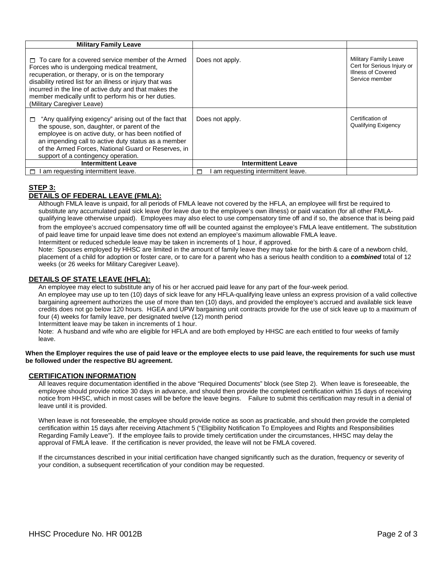| <b>Military Family Leave</b>                                                                                                                                                                                                                                                                                                                                             |                                        |                                                                                                    |
|--------------------------------------------------------------------------------------------------------------------------------------------------------------------------------------------------------------------------------------------------------------------------------------------------------------------------------------------------------------------------|----------------------------------------|----------------------------------------------------------------------------------------------------|
| $\Box$ To care for a covered service member of the Armed<br>Forces who is undergoing medical treatment,<br>recuperation, or therapy, or is on the temporary<br>disability retired list for an illness or injury that was<br>incurred in the line of active duty and that makes the<br>member medically unfit to perform his or her duties.<br>(Military Caregiver Leave) | Does not apply.                        | <b>Military Family Leave</b><br>Cert for Serious Injury or<br>Illness of Covered<br>Service member |
| "Any qualifying exigency" arising out of the fact that<br>$\Box$<br>the spouse, son, daughter, or parent of the<br>employee is on active duty, or has been notified of<br>an impending call to active duty status as a member<br>of the Armed Forces, National Guard or Reserves, in<br>support of a contingency operation.                                              | Does not apply.                        | Certification of<br>Qualifying Exigency                                                            |
| <b>Intermittent Leave</b>                                                                                                                                                                                                                                                                                                                                                | <b>Intermittent Leave</b>              |                                                                                                    |
| I am requesting intermittent leave.                                                                                                                                                                                                                                                                                                                                      | am requesting intermittent leave.<br>⊓ |                                                                                                    |

# **STEP 3:**

## **DETAILS OF FEDERAL LEAVE (FMLA):**

Although FMLA leave is unpaid, for all periods of FMLA leave not covered by the HFLA, an employee will first be required to substitute any accumulated paid sick leave (for leave due to the employee's own illness) or paid vacation (for all other FMLAqualifying leave otherwise unpaid). Employees may also elect to use compensatory time off and if so, the absence that is being paid from the employee's accrued compensatory time off will be counted against the employee's FMLA leave entitlement. The substitution of paid leave time for unpaid leave time does not extend an employee's maximum allowable FMLA leave.

Intermittent or reduced schedule leave may be taken in increments of 1 hour, if approved. Note: Spouses employed by HHSC are limited in the amount of family leave they may take for the birth & care of a newborn child,

placement of a child for adoption or foster care, or to care for a parent who has a serious health condition to a *combined* total of 12 weeks (or 26 weeks for Military Caregiver Leave).

## **DETAILS OF STATE LEAVE (HFLA):**

An employee may elect to substitute any of his or her accrued paid leave for any part of the four-week period.

An employee may use up to ten (10) days of sick leave for any HFLA-qualifying leave unless an express provision of a valid collective bargaining agreement authorizes the use of more than ten (10) days, and provided the employee's accrued and available sick leave credits does not go below 120 hours. HGEA and UPW bargaining unit contracts provide for the use of sick leave up to a maximum of four (4) weeks for family leave, per designated twelve (12) month period

Intermittent leave may be taken in increments of 1 hour.

Note: A husband and wife who are eligible for HFLA and are both employed by HHSC are each entitled to four weeks of family leave.

**When the Employer requires the use of paid leave or the employee elects to use paid leave, the requirements for such use must be followed under the respective BU agreement.** 

### **CERTIFICATION INFORMATION**

All leaves require documentation identified in the above "Required Documents" block (see Step 2). When leave is foreseeable, the employee should provide notice 30 days in advance, and should then provide the completed certification within 15 days of receiving notice from HHSC, which in most cases will be before the leave begins. Failure to submit this certification may result in a denial of leave until it is provided.

When leave is not foreseeable, the employee should provide notice as soon as practicable, and should then provide the completed certification within 15 days after receiving Attachment 5 ("Eligibility Notification To Employees and Rights and Responsibilities Regarding Family Leave"). If the employee fails to provide timely certification under the circumstances, HHSC may delay the approval of FMLA leave. If the certification is never provided, the leave will not be FMLA covered.

If the circumstances described in your initial certification have changed significantly such as the duration, frequency or severity of your condition, a subsequent recertification of your condition may be requested.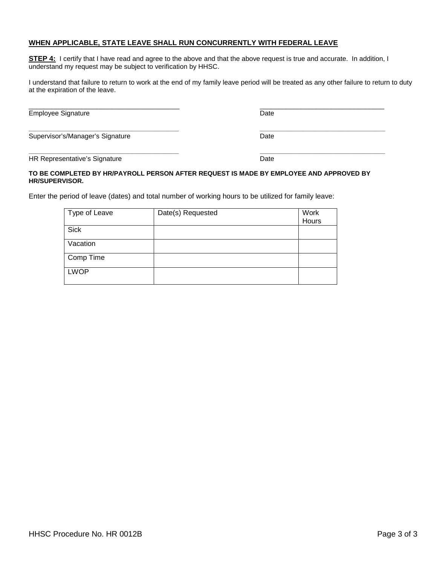## **WHEN APPLICABLE, STATE LEAVE SHALL RUN CONCURRENTLY WITH FEDERAL LEAVE**

**STEP 4:** I certify that I have read and agree to the above and that the above request is true and accurate. In addition, I understand my request may be subject to verification by HHSC.

I understand that failure to return to work at the end of my family leave period will be treated as any other failure to return to duty at the expiration of the leave.

\_\_\_\_\_\_\_\_\_\_\_\_\_\_\_\_\_\_\_\_\_\_\_\_\_\_\_\_\_\_\_\_\_\_\_\_\_\_\_\_ \_\_\_\_\_\_\_\_\_\_\_\_\_\_\_\_\_\_\_\_\_\_\_\_\_\_\_\_\_\_\_\_\_ Employee Signature **Date** Date **Date** 

**\_\_\_\_\_\_\_\_\_\_\_\_\_\_\_\_\_\_\_\_\_\_\_\_\_\_\_\_\_\_\_\_\_\_\_\_\_\_\_\_\_\_ \_\_\_\_\_\_\_\_\_\_\_\_\_\_\_\_\_\_\_\_\_\_\_\_\_\_\_\_\_\_\_\_\_\_\_** Supervisor's/Manager's Signature **Date** Date

**\_\_\_\_\_\_\_\_\_\_\_\_\_\_\_\_\_\_\_\_\_\_\_\_\_\_\_\_\_\_\_\_\_\_\_\_\_\_\_\_\_\_ \_\_\_\_\_\_\_\_\_\_\_\_\_\_\_\_\_\_\_\_\_\_\_\_\_\_\_\_\_\_\_\_\_\_\_** HR Representative's Signature **Date** Date

### **TO BE COMPLETED BY HR/PAYROLL PERSON AFTER REQUEST IS MADE BY EMPLOYEE AND APPROVED BY HR/SUPERVISOR.**

Enter the period of leave (dates) and total number of working hours to be utilized for family leave:

| Type of Leave | Date(s) Requested | Work<br>Hours |
|---------------|-------------------|---------------|
| <b>Sick</b>   |                   |               |
| Vacation      |                   |               |
| Comp Time     |                   |               |
| <b>LWOP</b>   |                   |               |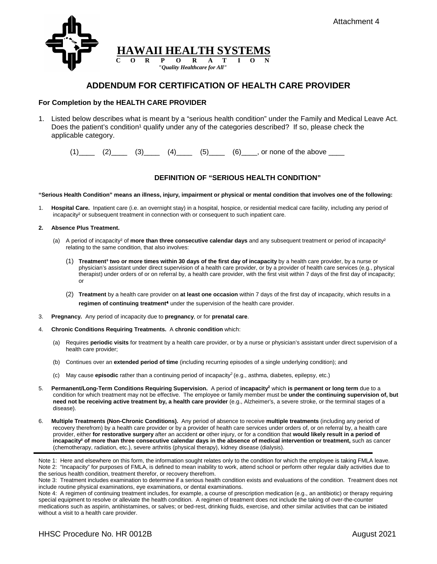

# **ADDENDUM FOR CERTIFICATION OF HEALTH CARE PROVIDER**

### **For Completion by the HEALTH CARE PROVIDER**

1. Listed below describes what is meant by a "serious health condition" under the Family and Medical Leave Act. Does the patient's condition<sup>1</sup> qualify under any of the categories described? If so, please check the applicable category.

 $(1)$   $(2)$   $(3)$   $(4)$   $(5)$   $(6)$   $(7)$  or none of the above  $\frac{1}{2}$ 

## **DEFINITION OF "SERIOUS HEALTH CONDITION"**

#### **"Serious Health Condition" means an illness, injury, impairment or physical or mental condition that involves one of the following:**

1. **Hospital Care.** Inpatient care (i.e. an overnight stay) in a hospital, hospice, or residential medical care facility, including any period of incapacity² or subsequent treatment in connection with or consequent to such inpatient care.

#### **2. Absence Plus Treatment.**

- (a) A period of incapacity² of **more than three consecutive calendar days** and any subsequent treatment or period of incapacity² relating to the same condition, that also involves:
	- (1) **Treatment³ two or more times within 30 days of the first day of incapacity** by a health care provider, by a nurse or physician's assistant under direct supervision of a health care provider, or by a provider of health care services (e.g., physical therapist) under orders of or on referral by, a health care provider, with the first visit within 7 days of the first day of incapacity; or
	- (2) **Treatment** by a health care provider on **at least one occasion** within 7 days of the first day of incapacity, which results in a **regimen of continuing treatment<sup>4</sup>** under the supervision of the health care provider.
- 3. **Pregnancy.** Any period of incapacity due to **pregnancy**, or for **prenatal care**.
- 4. **Chronic Conditions Requiring Treatments.** A **chronic condition** which:
	- (a) Requires **periodic visits** for treatment by a health care provider, or by a nurse or physician's assistant under direct supervision of a health care provider;
	- (b) Continues over an **extended period of time** (including recurring episodes of a single underlying condition); and
	- (c) May cause **episodic** rather than a continuing period of incapacity2 (e.g., asthma, diabetes, epilepsy, etc.)
- 5. **Permanent/Long-Term Conditions Requiring Supervision.** A period of **incapacity2** which **is permanent or long term** due to a condition for which treatment may not be effective. The employee or family member must be **under the continuing supervision of, but need not be receiving active treatment by, a health care provider** (e.g., Alzheimer's, a severe stroke, or the terminal stages of a disease).
- 6. **Multiple Treatments (Non-Chronic Conditions).** Any period of absence to receive **multiple treatments** (including any period of recovery therefrom) by a health care provider or by a provider of health care services under orders of, or on referral by, a health care provider, either **for restorative surgery** after an accident **or** other injury, or for a condition that **would likely result in a period of incapacity² of more than three consecutive calendar days in the absence of medical intervention or treatment,** such as cancer (chemotherapy, radiation, etc.), severe arthritis (physical therapy), kidney disease (dialysis).

Note 3: Treatment includes examination to determine if a serious health condition exists and evaluations of the condition. Treatment does not include routine physical examinations, eye examinations, or dental examinations.

Note 4: A regimen of continuing treatment includes, for example, a course of prescription medication (e.g., an antibiotic) or therapy requiring special equipment to resolve or alleviate the health condition. A regimen of treatment does not include the taking of over-the-counter medications such as aspirin, antihistamines, or salves; or bed-rest, drinking fluids, exercise, and other similar activities that can be initiated without a visit to a health care provider.

Note 1: Here and elsewhere on this form, the information sought relates only to the condition for which the employee is taking FMLA leave. Note 2: "Incapacity" for purposes of FMLA, is defined to mean inability to work, attend school or perform other regular daily activities due to the serious health condition, treatment therefor, or recovery therefrom.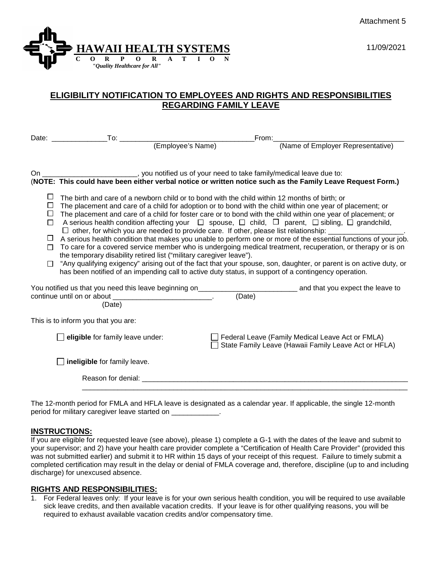



# **ELIGIBILITY NOTIFICATION TO EMPLOYEES AND RIGHTS AND RESPONSIBILITIES REGARDING FAMILY LEAVE**

|                                                     |                                                                                                                                                                                                                                                                                                                                                                                                                                                                                                                                                                                                                                                                                                                                                                                                                                                                                                                                                                                               |                                                                                                                                                                                                                                | From:  |                                                                                                            |
|-----------------------------------------------------|-----------------------------------------------------------------------------------------------------------------------------------------------------------------------------------------------------------------------------------------------------------------------------------------------------------------------------------------------------------------------------------------------------------------------------------------------------------------------------------------------------------------------------------------------------------------------------------------------------------------------------------------------------------------------------------------------------------------------------------------------------------------------------------------------------------------------------------------------------------------------------------------------------------------------------------------------------------------------------------------------|--------------------------------------------------------------------------------------------------------------------------------------------------------------------------------------------------------------------------------|--------|------------------------------------------------------------------------------------------------------------|
|                                                     |                                                                                                                                                                                                                                                                                                                                                                                                                                                                                                                                                                                                                                                                                                                                                                                                                                                                                                                                                                                               |                                                                                                                                                                                                                                |        | (Name of Employer Representative)                                                                          |
|                                                     |                                                                                                                                                                                                                                                                                                                                                                                                                                                                                                                                                                                                                                                                                                                                                                                                                                                                                                                                                                                               |                                                                                                                                                                                                                                |        |                                                                                                            |
| On a                                                | gou notified us of your need to take family/medical leave due to:                                                                                                                                                                                                                                                                                                                                                                                                                                                                                                                                                                                                                                                                                                                                                                                                                                                                                                                             |                                                                                                                                                                                                                                |        | (NOTE: This could have been either verbal notice or written notice such as the Family Leave Request Form.) |
| $\Box$<br>$\Box$<br>□<br>$\Box$<br>$\Box$<br>$\Box$ | The birth and care of a newborn child or to bond with the child within 12 months of birth; or<br>The placement and care of a child for adoption or to bond with the child within one year of placement; or<br>The placement and care of a child for foster care or to bond with the child within one year of placement; or<br>A serious health condition affecting your $\Box$ spouse, $\Box$ child, $\Box$ parent, $\Box$ sibling, $\Box$ grandchild,<br>A serious health condition that makes you unable to perform one or more of the essential functions of your job.<br>To care for a covered service member who is undergoing medical treatment, recuperation, or therapy or is on<br>the temporary disability retired list ("military caregiver leave").<br>"Any qualifying exigency" arising out of the fact that your spouse, son, daughter, or parent is on active duty, or<br>has been notified of an impending call to active duty status, in support of a contingency operation. |                                                                                                                                                                                                                                |        |                                                                                                            |
|                                                     | You notified us that you need this leave beginning on________<br>continue until on or about<br>(Date)                                                                                                                                                                                                                                                                                                                                                                                                                                                                                                                                                                                                                                                                                                                                                                                                                                                                                         | the contract of the contract of the contract of                                                                                                                                                                                | (Date) | _____________ and that you expect the leave to                                                             |
|                                                     | This is to inform you that you are:                                                                                                                                                                                                                                                                                                                                                                                                                                                                                                                                                                                                                                                                                                                                                                                                                                                                                                                                                           |                                                                                                                                                                                                                                |        |                                                                                                            |
|                                                     | $\Box$ eligible for family leave under:                                                                                                                                                                                                                                                                                                                                                                                                                                                                                                                                                                                                                                                                                                                                                                                                                                                                                                                                                       |                                                                                                                                                                                                                                |        | Federal Leave (Family Medical Leave Act or FMLA)<br>State Family Leave (Hawaii Family Leave Act or HFLA)   |
|                                                     | $\Box$ ineligible for family leave.                                                                                                                                                                                                                                                                                                                                                                                                                                                                                                                                                                                                                                                                                                                                                                                                                                                                                                                                                           |                                                                                                                                                                                                                                |        |                                                                                                            |
|                                                     |                                                                                                                                                                                                                                                                                                                                                                                                                                                                                                                                                                                                                                                                                                                                                                                                                                                                                                                                                                                               | Reason for denial: experience of the state of the state of the state of the state of the state of the state of the state of the state of the state of the state of the state of the state of the state of the state of the sta |        |                                                                                                            |
|                                                     |                                                                                                                                                                                                                                                                                                                                                                                                                                                                                                                                                                                                                                                                                                                                                                                                                                                                                                                                                                                               |                                                                                                                                                                                                                                |        | an EMILA sand LIELA Institut de desdantendre et en exploration de la condita dels selectorals AO a         |

The 12-month period for FMLA and HFLA leave is designated as a calendar year. If applicable, the single 12-month period for military caregiver leave started on

# **INSTRUCTIONS:**

If you are eligible for requested leave (see above), please 1) complete a G-1 with the dates of the leave and submit to your supervisor; and 2) have your health care provider complete a "Certification of Health Care Provider" (provided this was not submitted earlier) and submit it to HR within 15 days of your receipt of this request. Failure to timely submit a completed certification may result in the delay or denial of FMLA coverage and, therefore, discipline (up to and including discharge) for unexcused absence.

# **RIGHTS AND RESPONSIBILITIES:**

1. For Federal leaves only: If your leave is for your own serious health condition, you will be required to use available sick leave credits, and then available vacation credits. If your leave is for other qualifying reasons, you will be required to exhaust available vacation credits and/or compensatory time.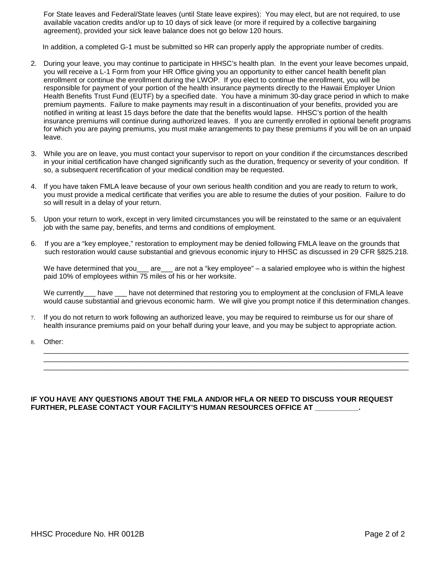For State leaves and Federal/State leaves (until State leave expires): You may elect, but are not required, to use available vacation credits and/or up to 10 days of sick leave (or more if required by a collective bargaining agreement), provided your sick leave balance does not go below 120 hours.

In addition, a completed G-1 must be submitted so HR can properly apply the appropriate number of credits.

- 2. During your leave, you may continue to participate in HHSC's health plan. In the event your leave becomes unpaid, you will receive a L-1 Form from your HR Office giving you an opportunity to either cancel health benefit plan enrollment or continue the enrollment during the LWOP. If you elect to continue the enrollment, you will be responsible for payment of your portion of the health insurance payments directly to the Hawaii Employer Union Health Benefits Trust Fund (EUTF) by a specified date. You have a minimum 30-day grace period in which to make premium payments. Failure to make payments may result in a discontinuation of your benefits, provided you are notified in writing at least 15 days before the date that the benefits would lapse. HHSC's portion of the health insurance premiums will continue during authorized leaves. If you are currently enrolled in optional benefit programs for which you are paying premiums, you must make arrangements to pay these premiums if you will be on an unpaid leave.
- 3. While you are on leave, you must contact your supervisor to report on your condition if the circumstances described in your initial certification have changed significantly such as the duration, frequency or severity of your condition. If so, a subsequent recertification of your medical condition may be requested.
- 4. If you have taken FMLA leave because of your own serious health condition and you are ready to return to work, you must provide a medical certificate that verifies you are able to resume the duties of your position. Failure to do so will result in a delay of your return.
- 5. Upon your return to work, except in very limited circumstances you will be reinstated to the same or an equivalent job with the same pay, benefits, and terms and conditions of employment.
- 6. If you are a "key employee," restoration to employment may be denied following FMLA leave on the grounds that such restoration would cause substantial and grievous economic injury to HHSC as discussed in 29 CFR §825.218.

We have determined that you are  $\alpha$  are not a "key employee" – a salaried employee who is within the highest paid 10% of employees within 75 miles of his or her worksite.

We currently have have not determined that restoring you to employment at the conclusion of FMLA leave would cause substantial and grievous economic harm. We will give you prompt notice if this determination changes.

\_\_\_\_\_\_\_\_\_\_\_\_\_\_\_\_\_\_\_\_\_\_\_\_\_\_\_\_\_\_\_\_\_\_\_\_\_\_\_\_\_\_\_\_\_\_\_\_\_\_\_\_\_\_\_\_\_\_\_\_\_\_\_\_\_\_\_\_\_\_\_\_\_\_\_\_\_\_\_\_\_\_\_\_\_\_\_\_\_\_\_\_ \_\_\_\_\_\_\_\_\_\_\_\_\_\_\_\_\_\_\_\_\_\_\_\_\_\_\_\_\_\_\_\_\_\_\_\_\_\_\_\_\_\_\_\_\_\_\_\_\_\_\_\_\_\_\_\_\_\_\_\_\_\_\_\_\_\_\_\_\_\_\_\_\_\_\_\_\_\_\_\_\_\_\_\_\_\_\_\_\_\_\_\_ \_\_\_\_\_\_\_\_\_\_\_\_\_\_\_\_\_\_\_\_\_\_\_\_\_\_\_\_\_\_\_\_\_\_\_\_\_\_\_\_\_\_\_\_\_\_\_\_\_\_\_\_\_\_\_\_\_\_\_\_\_\_\_\_\_\_\_\_\_\_\_\_\_\_\_\_\_\_\_\_\_\_\_\_\_\_\_\_\_\_\_\_

- 7. If you do not return to work following an authorized leave, you may be required to reimburse us for our share of health insurance premiums paid on your behalf during your leave, and you may be subject to appropriate action.
- 8. Other:

## **IF YOU HAVE ANY QUESTIONS ABOUT THE FMLA AND/OR HFLA OR NEED TO DISCUSS YOUR REQUEST FURTHER, PLEASE CONTACT YOUR FACILITY'S HUMAN RESOURCES OFFICE AT \_\_\_\_\_\_\_\_\_\_\_.**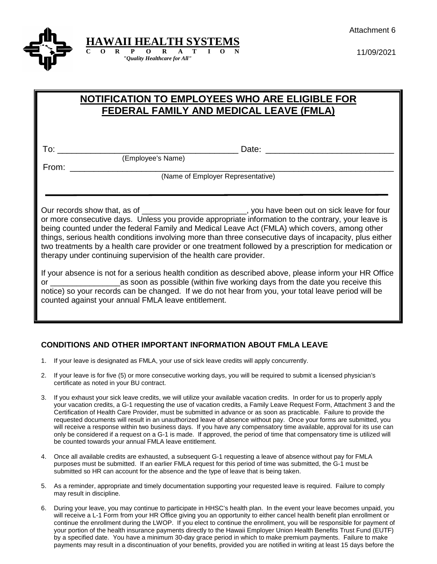Attachment 6



11/09/2021

# **NOTIFICATION TO EMPLOYEES WHO ARE ELIGIBLE FOR FEDERAL FAMILY AND MEDICAL LEAVE (FMLA)**

To: \_\_\_\_\_\_\_\_\_\_\_\_\_\_\_\_\_\_\_\_\_\_\_\_\_\_\_\_\_\_\_\_\_\_\_\_\_\_ Date: \_\_\_\_\_\_\_\_\_\_\_\_\_\_\_\_\_\_\_\_\_\_\_\_\_\_\_

(Employee's Name)

From: where  $\overline{z}$ 

(Name of Employer Representative)

Our records show that, as of \_\_\_\_\_\_\_\_\_\_\_\_\_\_\_\_\_\_\_\_\_\_\_\_\_\_, you have been out on sick leave for four or more consecutive days. Unless you provide appropriate information to the contrary, your leave is being counted under the federal Family and Medical Leave Act (FMLA) which covers, among other things, serious health conditions involving more than three consecutive days of incapacity, plus either two treatments by a health care provider or one treatment followed by a prescription for medication or therapy under continuing supervision of the health care provider.

If your absence is not for a serious health condition as described above, please inform your HR Office or \_\_\_\_\_\_\_\_\_\_\_\_\_\_\_\_as soon as possible (within five working days from the date you receive this notice) so your records can be changed. If we do not hear from you, your total leave period will be counted against your annual FMLA leave entitlement.

# **CONDITIONS AND OTHER IMPORTANT INFORMATION ABOUT FMLA LEAVE**

- 1. If your leave is designated as FMLA, your use of sick leave credits will apply concurrently.
- 2. If your leave is for five (5) or more consecutive working days, you will be required to submit a licensed physician's certificate as noted in your BU contract.
- 3. If you exhaust your sick leave credits, we will utilize your available vacation credits. In order for us to properly apply your vacation credits, a G-1 requesting the use of vacation credits, a Family Leave Request Form, Attachment 3 and the Certification of Health Care Provider, must be submitted in advance or as soon as practicable. Failure to provide the requested documents will result in an unauthorized leave of absence without pay. Once your forms are submitted, you will receive a response within two business days. If you have any compensatory time available, approval for its use can only be considered if a request on a G-1 is made. If approved, the period of time that compensatory time is utilized will be counted towards your annual FMLA leave entitlement.
- 4. Once all available credits are exhausted, a subsequent G-1 requesting a leave of absence without pay for FMLA purposes must be submitted. If an earlier FMLA request for this period of time was submitted, the G-1 must be submitted so HR can account for the absence and the type of leave that is being taken.
- 5. As a reminder, appropriate and timely documentation supporting your requested leave is required. Failure to comply may result in discipline.
- 6. During your leave, you may continue to participate in HHSC's health plan. In the event your leave becomes unpaid, you will receive a L-1 Form from your HR Office giving you an opportunity to either cancel health benefit plan enrollment or continue the enrollment during the LWOP. If you elect to continue the enrollment, you will be responsible for payment of your portion of the health insurance payments directly to the Hawaii Employer Union Health Benefits Trust Fund (EUTF) by a specified date. You have a minimum 30-day grace period in which to make premium payments. Failure to make payments may result in a discontinuation of your benefits, provided you are notified in writing at least 15 days before the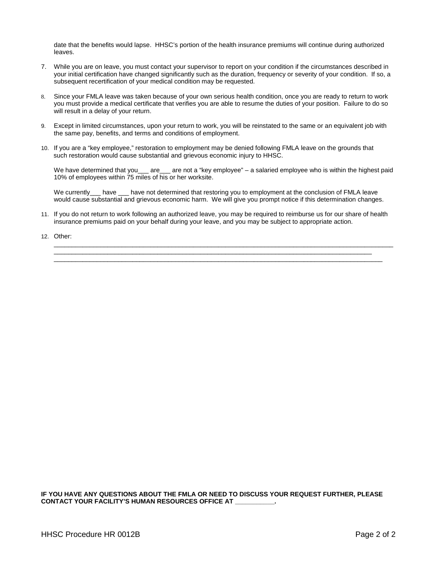date that the benefits would lapse. HHSC's portion of the health insurance premiums will continue during authorized leaves.

- 7. While you are on leave, you must contact your supervisor to report on your condition if the circumstances described in your initial certification have changed significantly such as the duration, frequency or severity of your condition. If so, a subsequent recertification of your medical condition may be requested.
- 8. Since your FMLA leave was taken because of your own serious health condition, once you are ready to return to work you must provide a medical certificate that verifies you are able to resume the duties of your position. Failure to do so will result in a delay of your return.
- 9. Except in limited circumstances, upon your return to work, you will be reinstated to the same or an equivalent job with the same pay, benefits, and terms and conditions of employment.
- 10. If you are a "key employee," restoration to employment may be denied following FMLA leave on the grounds that such restoration would cause substantial and grievous economic injury to HHSC.

We have determined that you\_\_\_ are\_\_\_ are not a "key employee" – a salaried employee who is within the highest paid 10% of employees within 75 miles of his or her worksite.

We currently\_\_\_ have \_\_\_ have not determined that restoring you to employment at the conclusion of FMLA leave would cause substantial and grievous economic harm. We will give you prompt notice if this determination changes.

11. If you do not return to work following an authorized leave, you may be required to reimburse us for our share of health insurance premiums paid on your behalf during your leave, and you may be subject to appropriate action.

\_\_\_\_\_\_\_\_\_\_\_\_\_\_\_\_\_\_\_\_\_\_\_\_\_\_\_\_\_\_\_\_\_\_\_\_\_\_\_\_\_\_\_\_\_\_\_\_\_\_\_\_\_\_\_\_\_\_\_\_\_\_\_\_\_\_\_\_\_\_\_\_\_\_\_\_\_\_\_\_\_\_\_\_\_\_\_\_\_\_\_\_\_\_\_ \_\_\_\_\_\_\_\_\_\_\_\_\_\_\_\_\_\_\_\_\_\_\_\_\_\_\_\_\_\_\_\_\_\_\_\_\_\_\_\_\_\_\_\_\_\_\_\_\_\_\_\_\_\_\_\_\_\_\_\_\_\_\_\_\_\_\_\_\_\_\_\_\_\_\_\_\_\_\_\_\_\_\_\_\_\_\_\_\_  $\_$  ,  $\_$  ,  $\_$  ,  $\_$  ,  $\_$  ,  $\_$  ,  $\_$  ,  $\_$  ,  $\_$  ,  $\_$  ,  $\_$  ,  $\_$  ,  $\_$  ,  $\_$  ,  $\_$  ,  $\_$  ,  $\_$  ,  $\_$  ,  $\_$  ,  $\_$  ,  $\_$  ,  $\_$  ,  $\_$  ,  $\_$  ,  $\_$  ,  $\_$  ,  $\_$  ,  $\_$  ,  $\_$  ,  $\_$  ,  $\_$  ,  $\_$  ,  $\_$  ,  $\_$  ,  $\_$  ,  $\_$  ,  $\_$  ,

12. Other:

**IF YOU HAVE ANY QUESTIONS ABOUT THE FMLA OR NEED TO DISCUSS YOUR REQUEST FURTHER, PLEASE CONTACT YOUR FACILITY'S HUMAN RESOURCES OFFICE AT \_\_\_\_\_\_\_\_\_\_\_.**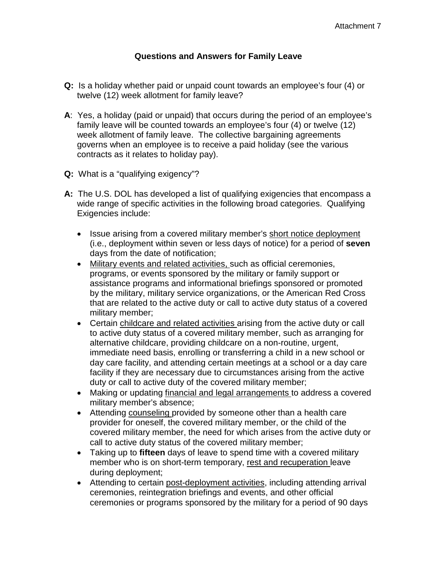# **Questions and Answers for Family Leave**

- **Q:** Is a holiday whether paid or unpaid count towards an employee's four (4) or twelve (12) week allotment for family leave?
- **A**: Yes, a holiday (paid or unpaid) that occurs during the period of an employee's family leave will be counted towards an employee's four (4) or twelve (12) week allotment of family leave. The collective bargaining agreements governs when an employee is to receive a paid holiday (see the various contracts as it relates to holiday pay).
- **Q:** What is a "qualifying exigency"?
- **A:** The U.S. DOL has developed a list of qualifying exigencies that encompass a wide range of specific activities in the following broad categories. Qualifying Exigencies include:
	- Issue arising from a covered military member's short notice deployment (i.e., deployment within seven or less days of notice) for a period of **seven**  days from the date of notification;
	- Military events and related activities, such as official ceremonies, programs, or events sponsored by the military or family support or assistance programs and informational briefings sponsored or promoted by the military, military service organizations, or the American Red Cross that are related to the active duty or call to active duty status of a covered military member;
	- Certain childcare and related activities arising from the active duty or call to active duty status of a covered military member, such as arranging for alternative childcare, providing childcare on a non-routine, urgent, immediate need basis, enrolling or transferring a child in a new school or day care facility, and attending certain meetings at a school or a day care facility if they are necessary due to circumstances arising from the active duty or call to active duty of the covered military member;
	- Making or updating financial and legal arrangements to address a covered military member's absence;
	- Attending counseling provided by someone other than a health care provider for oneself, the covered military member, or the child of the covered military member, the need for which arises from the active duty or call to active duty status of the covered military member;
	- Taking up to **fifteen** days of leave to spend time with a covered military member who is on short-term temporary, rest and recuperation leave during deployment;
	- Attending to certain post-deployment activities, including attending arrival ceremonies, reintegration briefings and events, and other official ceremonies or programs sponsored by the military for a period of 90 days